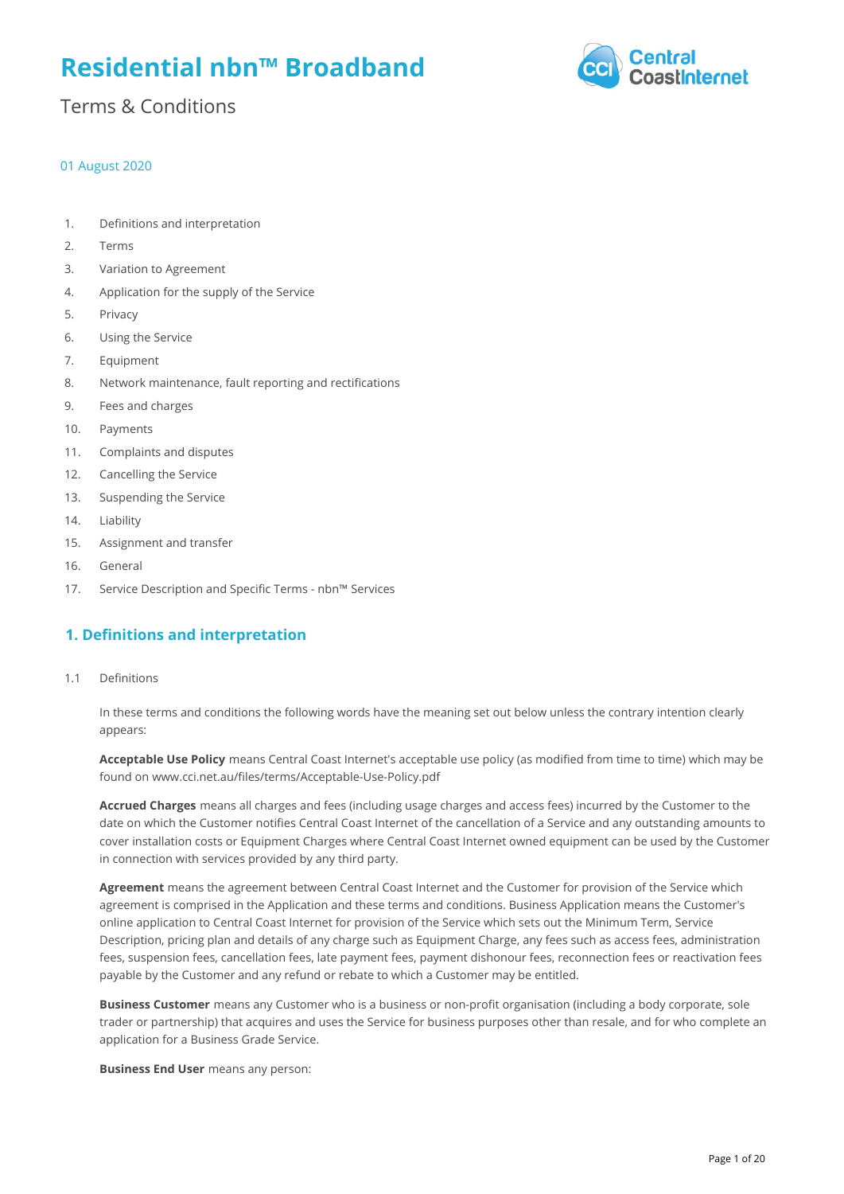# **Residential nbn™ Broadband**



## Terms & Conditions

### 01 August 2020

- 1. Definitions and interpretation
- 2. Terms
- 3. Variation to Agreement
- 4. Application for the supply of the Service
- 5. Privacy
- 6. Using the Service
- 7. Equipment
- 8. Network maintenance, fault reporting and rectifications
- 9. Fees and charges
- 10. Payments
- 11. Complaints and disputes
- 12. Cancelling the Service
- 13. Suspending the Service
- 14. Liability
- 15. Assignment and transfer
- 16. General
- 17. Service Description and Specific Terms nbn™ Services

### **1. Definitions and interpretation**

1.1 Definitions

In these terms and conditions the following words have the meaning set out below unless the contrary intention clearly appears:

**Acceptable Use Policy** means Central Coast Internet's acceptable use policy (as modified from time to time) which may be found on www.cci.net.au/files/terms/Acceptable-Use-Policy.pdf

**Accrued Charges** means all charges and fees (including usage charges and access fees) incurred by the Customer to the date on which the Customer notifies Central Coast Internet of the cancellation of a Service and any outstanding amounts to cover installation costs or Equipment Charges where Central Coast Internet owned equipment can be used by the Customer in connection with services provided by any third party.

**Agreement** means the agreement between Central Coast Internet and the Customer for provision of the Service which agreement is comprised in the Application and these terms and conditions. Business Application means the Customer's online application to Central Coast Internet for provision of the Service which sets out the Minimum Term, Service Description, pricing plan and details of any charge such as Equipment Charge, any fees such as access fees, administration fees, suspension fees, cancellation fees, late payment fees, payment dishonour fees, reconnection fees or reactivation fees payable by the Customer and any refund or rebate to which a Customer may be entitled.

**Business Customer** means any Customer who is a business or non-profit organisation (including a body corporate, sole trader or partnership) that acquires and uses the Service for business purposes other than resale, and for who complete an application for a Business Grade Service.

**Business End User** means any person: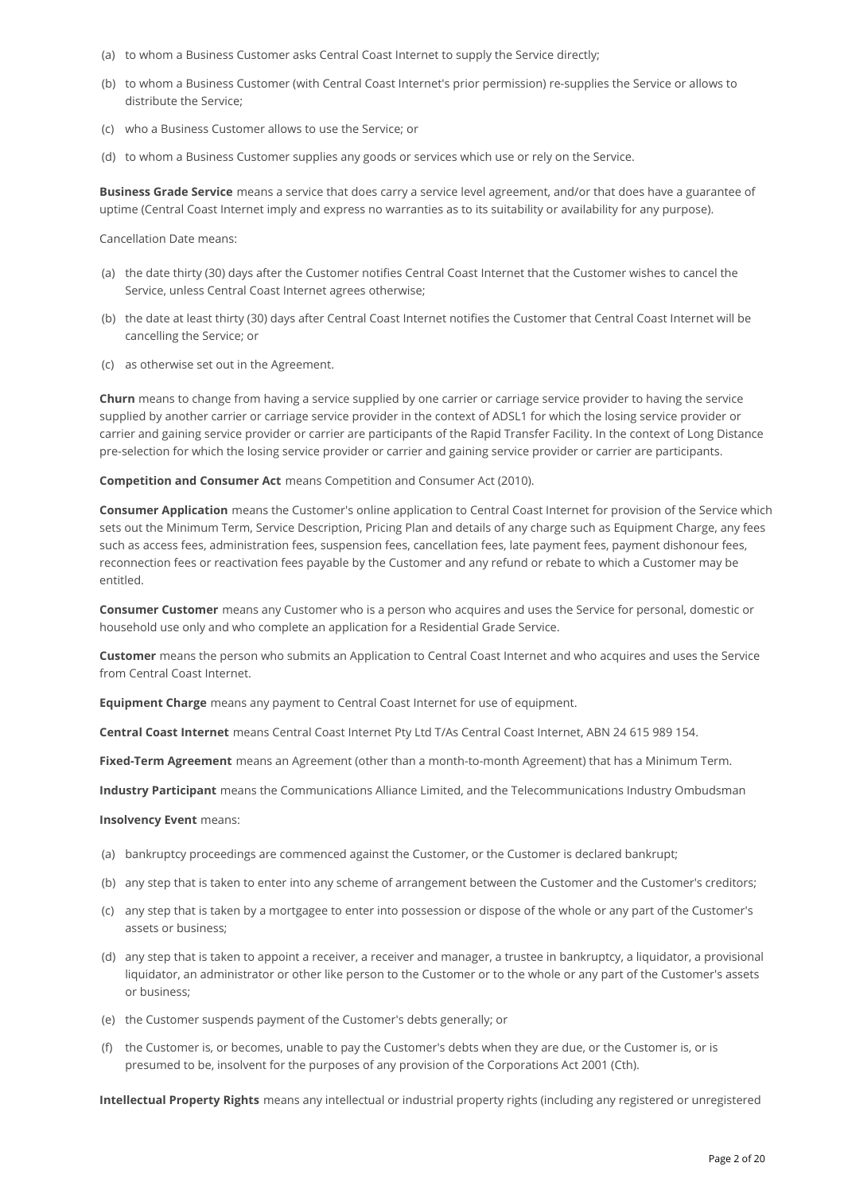- (a) to whom a Business Customer asks Central Coast Internet to supply the Service directly;
- (b) to whom a Business Customer (with Central Coast Internet's prior permission) re-supplies the Service or allows to distribute the Service;
- (c) who a Business Customer allows to use the Service; or
- (d) to whom a Business Customer supplies any goods or services which use or rely on the Service.

**Business Grade Service** means a service that does carry a service level agreement, and/or that does have a guarantee of uptime (Central Coast Internet imply and express no warranties as to its suitability or availability for any purpose).

Cancellation Date means:

- (a) the date thirty (30) days after the Customer notifies Central Coast Internet that the Customer wishes to cancel the Service, unless Central Coast Internet agrees otherwise;
- (b) the date at least thirty (30) days after Central Coast Internet notifies the Customer that Central Coast Internet will be cancelling the Service; or
- (c) as otherwise set out in the Agreement.

**Churn** means to change from having a service supplied by one carrier or carriage service provider to having the service supplied by another carrier or carriage service provider in the context of ADSL1 for which the losing service provider or carrier and gaining service provider or carrier are participants of the Rapid Transfer Facility. In the context of Long Distance pre-selection for which the losing service provider or carrier and gaining service provider or carrier are participants.

**Competition and Consumer Act** means Competition and Consumer Act (2010).

**Consumer Application** means the Customer's online application to Central Coast Internet for provision of the Service which sets out the Minimum Term, Service Description, Pricing Plan and details of any charge such as Equipment Charge, any fees such as access fees, administration fees, suspension fees, cancellation fees, late payment fees, payment dishonour fees, reconnection fees or reactivation fees payable by the Customer and any refund or rebate to which a Customer may be entitled.

**Consumer Customer** means any Customer who is a person who acquires and uses the Service for personal, domestic or household use only and who complete an application for a Residential Grade Service.

**Customer** means the person who submits an Application to Central Coast Internet and who acquires and uses the Service from Central Coast Internet.

**Equipment Charge** means any payment to Central Coast Internet for use of equipment.

**Central Coast Internet** means Central Coast Internet Pty Ltd T/As Central Coast Internet, ABN 24 615 989 154.

**Fixed-Term Agreement** means an Agreement (other than a month-to-month Agreement) that has a Minimum Term.

**Industry Participant** means the Communications Alliance Limited, and the Telecommunications Industry Ombudsman

#### **Insolvency Event** means:

- (a) bankruptcy proceedings are commenced against the Customer, or the Customer is declared bankrupt;
- (b) any step that is taken to enter into any scheme of arrangement between the Customer and the Customer's creditors;
- (c) any step that is taken by a mortgagee to enter into possession or dispose of the whole or any part of the Customer's assets or business;
- (d) any step that is taken to appoint a receiver, a receiver and manager, a trustee in bankruptcy, a liquidator, a provisional liquidator, an administrator or other like person to the Customer or to the whole or any part of the Customer's assets or business;
- (e) the Customer suspends payment of the Customer's debts generally; or
- (f) the Customer is, or becomes, unable to pay the Customer's debts when they are due, or the Customer is, or is presumed to be, insolvent for the purposes of any provision of the Corporations Act 2001 (Cth).

**Intellectual Property Rights** means any intellectual or industrial property rights (including any registered or unregistered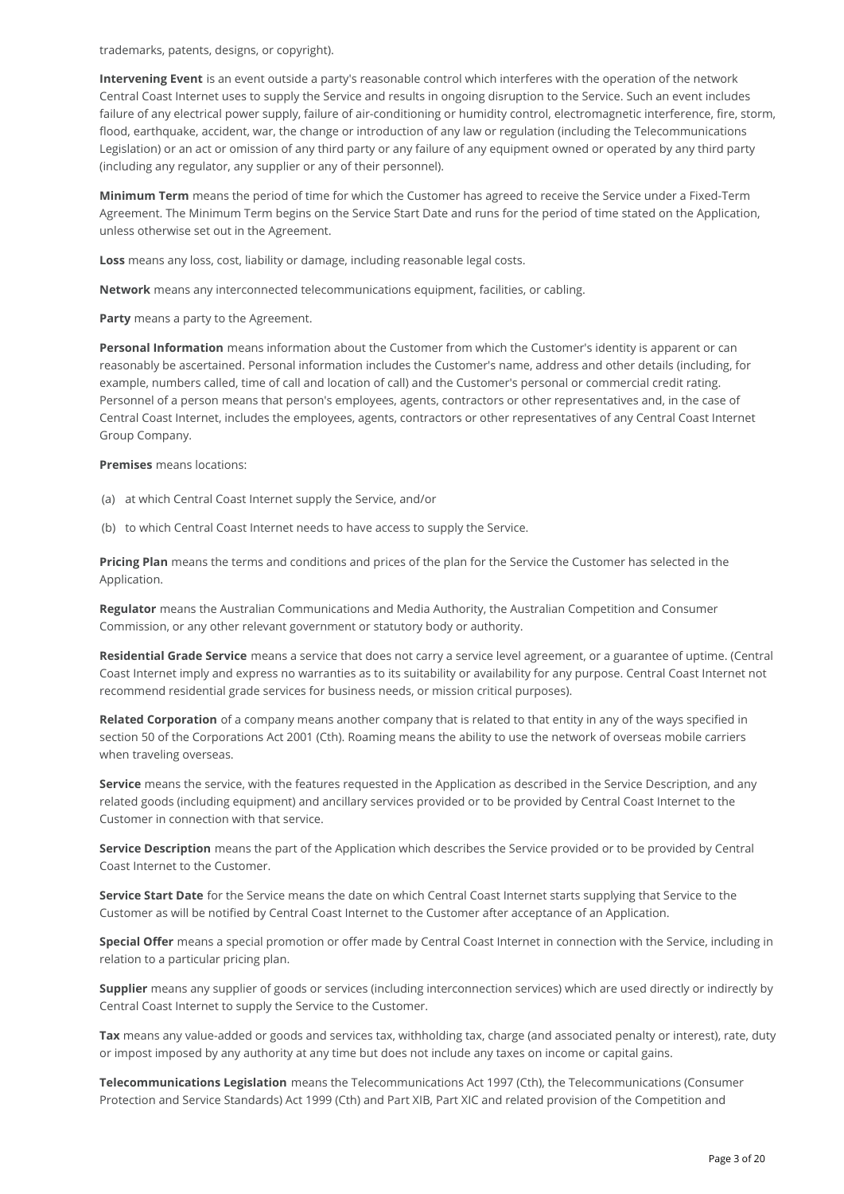trademarks, patents, designs, or copyright).

**Intervening Event** is an event outside a party's reasonable control which interferes with the operation of the network Central Coast Internet uses to supply the Service and results in ongoing disruption to the Service. Such an event includes failure of any electrical power supply, failure of air-conditioning or humidity control, electromagnetic interference, fire, storm, flood, earthquake, accident, war, the change or introduction of any law or regulation (including the Telecommunications Legislation) or an act or omission of any third party or any failure of any equipment owned or operated by any third party (including any regulator, any supplier or any of their personnel).

**Minimum Term** means the period of time for which the Customer has agreed to receive the Service under a Fixed-Term Agreement. The Minimum Term begins on the Service Start Date and runs for the period of time stated on the Application, unless otherwise set out in the Agreement.

**Loss** means any loss, cost, liability or damage, including reasonable legal costs.

**Network** means any interconnected telecommunications equipment, facilities, or cabling.

**Party** means a party to the Agreement.

**Personal Information** means information about the Customer from which the Customer's identity is apparent or can reasonably be ascertained. Personal information includes the Customer's name, address and other details (including, for example, numbers called, time of call and location of call) and the Customer's personal or commercial credit rating. Personnel of a person means that person's employees, agents, contractors or other representatives and, in the case of Central Coast Internet, includes the employees, agents, contractors or other representatives of any Central Coast Internet Group Company.

**Premises** means locations:

- (a) at which Central Coast Internet supply the Service, and/or
- (b) to which Central Coast Internet needs to have access to supply the Service.

**Pricing Plan** means the terms and conditions and prices of the plan for the Service the Customer has selected in the Application.

**Regulator** means the Australian Communications and Media Authority, the Australian Competition and Consumer Commission, or any other relevant government or statutory body or authority.

**Residential Grade Service** means a service that does not carry a service level agreement, or a guarantee of uptime. (Central Coast Internet imply and express no warranties as to its suitability or availability for any purpose. Central Coast Internet not recommend residential grade services for business needs, or mission critical purposes).

**Related Corporation** of a company means another company that is related to that entity in any of the ways specified in section 50 of the Corporations Act 2001 (Cth). Roaming means the ability to use the network of overseas mobile carriers when traveling overseas.

**Service** means the service, with the features requested in the Application as described in the Service Description, and any related goods (including equipment) and ancillary services provided or to be provided by Central Coast Internet to the Customer in connection with that service.

**Service Description** means the part of the Application which describes the Service provided or to be provided by Central Coast Internet to the Customer.

**Service Start Date** for the Service means the date on which Central Coast Internet starts supplying that Service to the Customer as will be notified by Central Coast Internet to the Customer after acceptance of an Application.

**Special Offer** means a special promotion or offer made by Central Coast Internet in connection with the Service, including in relation to a particular pricing plan.

**Supplier** means any supplier of goods or services (including interconnection services) which are used directly or indirectly by Central Coast Internet to supply the Service to the Customer.

**Tax** means any value-added or goods and services tax, withholding tax, charge (and associated penalty or interest), rate, duty or impost imposed by any authority at any time but does not include any taxes on income or capital gains.

**Telecommunications Legislation** means the Telecommunications Act 1997 (Cth), the Telecommunications (Consumer Protection and Service Standards) Act 1999 (Cth) and Part XIB, Part XIC and related provision of the Competition and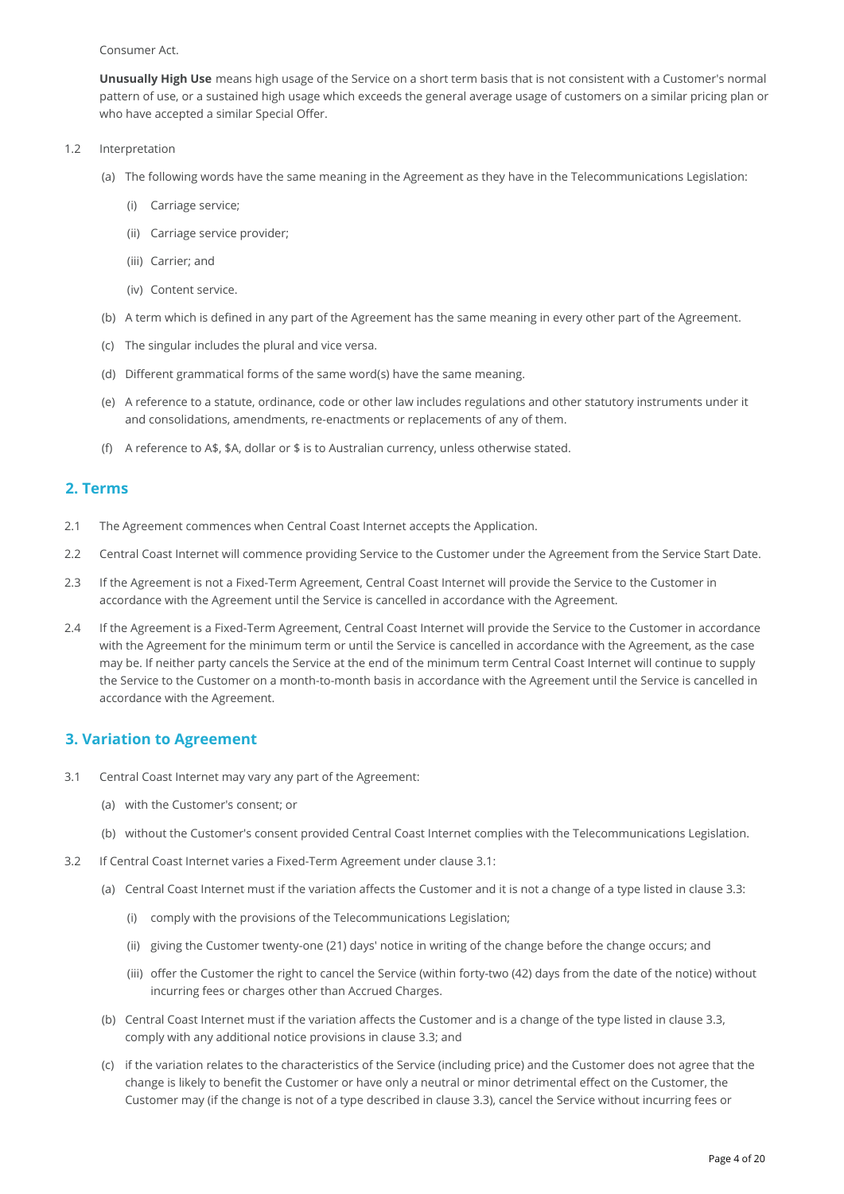Consumer Act.

**Unusually High Use** means high usage of the Service on a short term basis that is not consistent with a Customer's normal pattern of use, or a sustained high usage which exceeds the general average usage of customers on a similar pricing plan or who have accepted a similar Special Offer.

- 1.2 Interpretation
	- (a) The following words have the same meaning in the Agreement as they have in the Telecommunications Legislation:
		- (i) Carriage service;
		- (ii) Carriage service provider;
		- (iii) Carrier; and
		- (iv) Content service.
	- (b) A term which is defined in any part of the Agreement has the same meaning in every other part of the Agreement.
	- (c) The singular includes the plural and vice versa.
	- (d) Different grammatical forms of the same word(s) have the same meaning.
	- (e) A reference to a statute, ordinance, code or other law includes regulations and other statutory instruments under it and consolidations, amendments, re-enactments or replacements of any of them.
	- (f) A reference to A\$, \$A, dollar or \$ is to Australian currency, unless otherwise stated.

#### **2. Terms**

- 2.1 The Agreement commences when Central Coast Internet accepts the Application.
- 2.2 Central Coast Internet will commence providing Service to the Customer under the Agreement from the Service Start Date.
- If the Agreement is not a Fixed-Term Agreement, Central Coast Internet will provide the Service to the Customer in accordance with the Agreement until the Service is cancelled in accordance with the Agreement. 2.3
- If the Agreement is a Fixed-Term Agreement, Central Coast Internet will provide the Service to the Customer in accordance with the Agreement for the minimum term or until the Service is cancelled in accordance with the Agreement, as the case may be. If neither party cancels the Service at the end of the minimum term Central Coast Internet will continue to supply the Service to the Customer on a month-to-month basis in accordance with the Agreement until the Service is cancelled in accordance with the Agreement. 2.4

#### **3. Variation to Agreement**

- 3.1 Central Coast Internet may vary any part of the Agreement:
	- (a) with the Customer's consent; or
	- (b) without the Customer's consent provided Central Coast Internet complies with the Telecommunications Legislation.
- 3.2 If Central Coast Internet varies a Fixed-Term Agreement under clause 3.1:
	- (a) Central Coast Internet must if the variation affects the Customer and it is not a change of a type listed in clause 3.3:
		- (i) comply with the provisions of the Telecommunications Legislation;
		- (ii) giving the Customer twenty-one (21) days' notice in writing of the change before the change occurs; and
		- (iii) offer the Customer the right to cancel the Service (within forty-two (42) days from the date of the notice) without incurring fees or charges other than Accrued Charges.
	- Central Coast Internet must if the variation affects the Customer and is a change of the type listed in clause 3.3, (b) comply with any additional notice provisions in clause 3.3; and
	- (c) if the variation relates to the characteristics of the Service (including price) and the Customer does not agree that the change is likely to benefit the Customer or have only a neutral or minor detrimental effect on the Customer, the Customer may (if the change is not of a type described in clause 3.3), cancel the Service without incurring fees or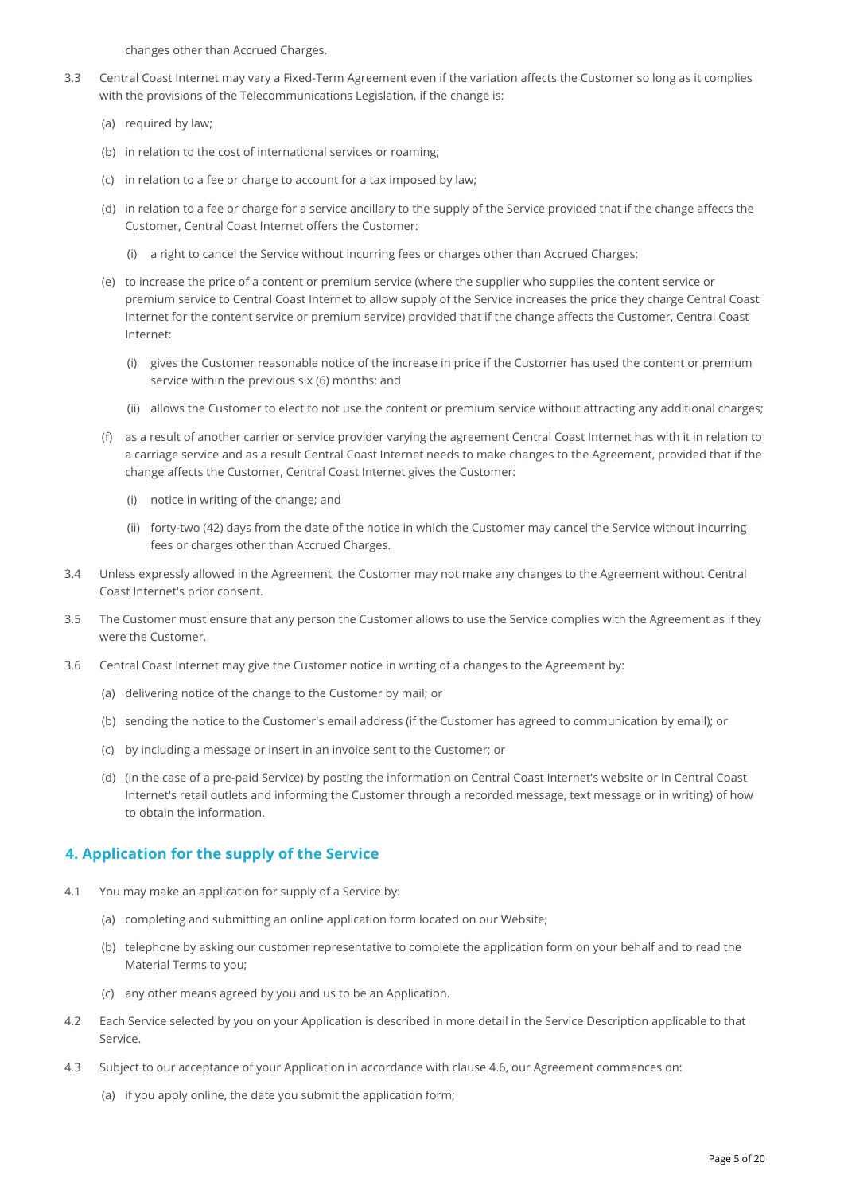changes other than Accrued Charges.

- Central Coast Internet may vary a Fixed-Term Agreement even if the variation affects the Customer so long as it complies with the provisions of the Telecommunications Legislation, if the change is: 3.3
	- (a) required by law;
	- (b) in relation to the cost of international services or roaming;
	- (c) in relation to a fee or charge to account for a tax imposed by law;
	- (d) in relation to a fee or charge for a service ancillary to the supply of the Service provided that if the change affects the Customer, Central Coast Internet offers the Customer:
		- (i) a right to cancel the Service without incurring fees or charges other than Accrued Charges;
	- (e) to increase the price of a content or premium service (where the supplier who supplies the content service or premium service to Central Coast Internet to allow supply of the Service increases the price they charge Central Coast Internet for the content service or premium service) provided that if the change affects the Customer, Central Coast Internet:
		- gives the Customer reasonable notice of the increase in price if the Customer has used the content or premium (i) service within the previous six (6) months; and
		- (ii) allows the Customer to elect to not use the content or premium service without attracting any additional charges;
	- (f) as a result of another carrier or service provider varying the agreement Central Coast Internet has with it in relation to a carriage service and as a result Central Coast Internet needs to make changes to the Agreement, provided that if the change affects the Customer, Central Coast Internet gives the Customer:
		- (i) notice in writing of the change; and
		- (ii) forty-two (42) days from the date of the notice in which the Customer may cancel the Service without incurring fees or charges other than Accrued Charges.
- Unless expressly allowed in the Agreement, the Customer may not make any changes to the Agreement without Central Coast Internet's prior consent. 3.4
- The Customer must ensure that any person the Customer allows to use the Service complies with the Agreement as if they were the Customer. 3.5
- 3.6 Central Coast Internet may give the Customer notice in writing of a changes to the Agreement by:
	- (a) delivering notice of the change to the Customer by mail; or
	- (b) sending the notice to the Customer's email address (if the Customer has agreed to communication by email); or
	- (c) by including a message or insert in an invoice sent to the Customer; or
	- (d) (in the case of a pre-paid Service) by posting the information on Central Coast Internet's website or in Central Coast Internet's retail outlets and informing the Customer through a recorded message, text message or in writing) of how to obtain the information.

### **4. Application for the supply of the Service**

- 4.1 You may make an application for supply of a Service by:
	- (a) completing and submitting an online application form located on our Website;
	- (b) telephone by asking our customer representative to complete the application form on your behalf and to read the Material Terms to you;
	- (c) any other means agreed by you and us to be an Application.
- Each Service selected by you on your Application is described in more detail in the Service Description applicable to that Service. 4.2
- 4.3 Subject to our acceptance of your Application in accordance with clause 4.6, our Agreement commences on:
	- (a) if you apply online, the date you submit the application form;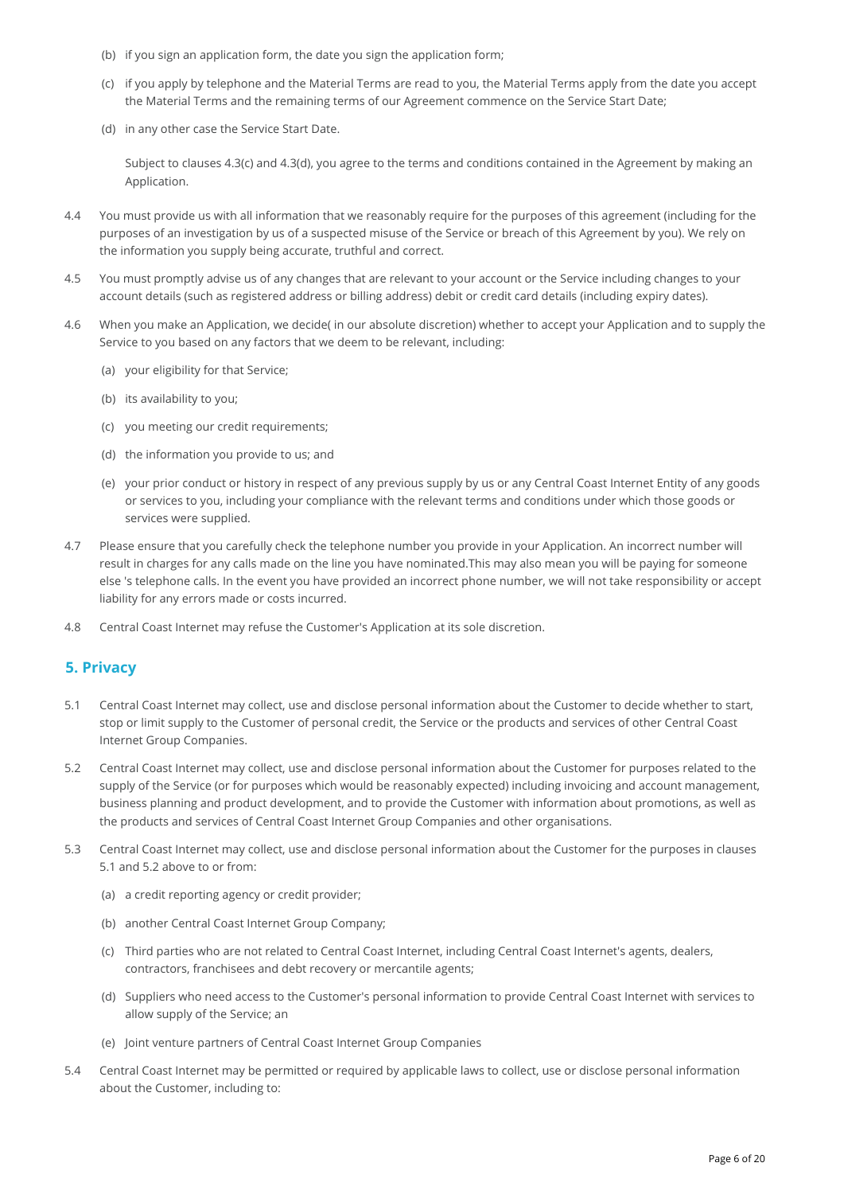- (b) if you sign an application form, the date you sign the application form;
- (c) if you apply by telephone and the Material Terms are read to you, the Material Terms apply from the date you accept the Material Terms and the remaining terms of our Agreement commence on the Service Start Date;
- (d) in any other case the Service Start Date.

Subject to clauses 4.3(c) and 4.3(d), you agree to the terms and conditions contained in the Agreement by making an Application.

- You must provide us with all information that we reasonably require for the purposes of this agreement (including for the purposes of an investigation by us of a suspected misuse of the Service or breach of this Agreement by you). We rely on the information you supply being accurate, truthful and correct. 4.4
- You must promptly advise us of any changes that are relevant to your account or the Service including changes to your account details (such as registered address or billing address) debit or credit card details (including expiry dates). 4.5
- When you make an Application, we decide( in our absolute discretion) whether to accept your Application and to supply the Service to you based on any factors that we deem to be relevant, including: 4.6
	- (a) your eligibility for that Service;
	- (b) its availability to you;
	- (c) you meeting our credit requirements;
	- (d) the information you provide to us; and
	- (e) your prior conduct or history in respect of any previous supply by us or any Central Coast Internet Entity of any goods or services to you, including your compliance with the relevant terms and conditions under which those goods or services were supplied.
- Please ensure that you carefully check the telephone number you provide in your Application. An incorrect number will result in charges for any calls made on the line you have nominated.This may also mean you will be paying for someone else 's telephone calls. In the event you have provided an incorrect phone number, we will not take responsibility or accept liability for any errors made or costs incurred. 4.7
- 4.8 Central Coast Internet may refuse the Customer's Application at its sole discretion.

### **5. Privacy**

- Central Coast Internet may collect, use and disclose personal information about the Customer to decide whether to start, stop or limit supply to the Customer of personal credit, the Service or the products and services of other Central Coast Internet Group Companies. 5.1
- Central Coast Internet may collect, use and disclose personal information about the Customer for purposes related to the supply of the Service (or for purposes which would be reasonably expected) including invoicing and account management, business planning and product development, and to provide the Customer with information about promotions, as well as the products and services of Central Coast Internet Group Companies and other organisations. 5.2
- Central Coast Internet may collect, use and disclose personal information about the Customer for the purposes in clauses 5.1 and 5.2 above to or from: 5.3
	- (a) a credit reporting agency or credit provider;
	- (b) another Central Coast Internet Group Company;
	- Third parties who are not related to Central Coast Internet, including Central Coast Internet's agents, dealers, (c) contractors, franchisees and debt recovery or mercantile agents;
	- (d) Suppliers who need access to the Customer's personal information to provide Central Coast Internet with services to allow supply of the Service; an
	- (e) Joint venture partners of Central Coast Internet Group Companies
- Central Coast Internet may be permitted or required by applicable laws to collect, use or disclose personal information about the Customer, including to: 5.4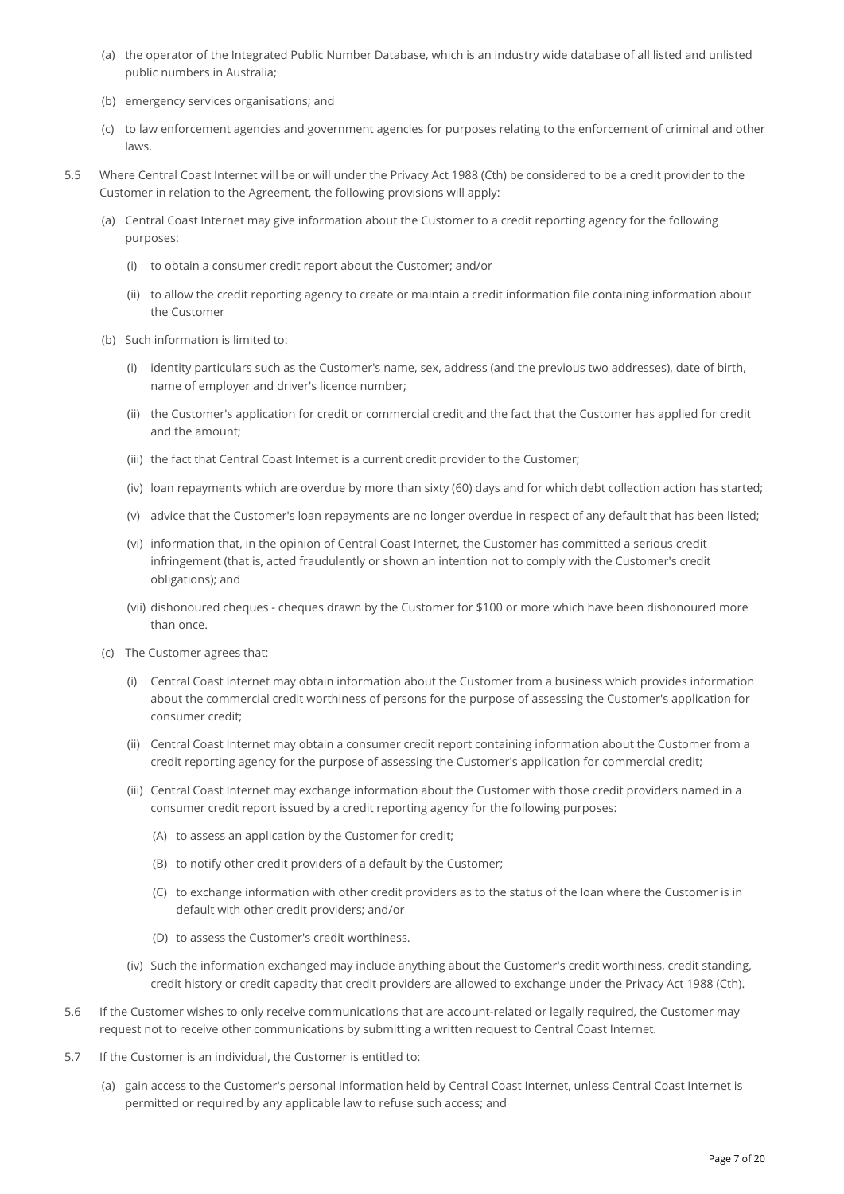- (a) the operator of the Integrated Public Number Database, which is an industry wide database of all listed and unlisted public numbers in Australia;
- (b) emergency services organisations; and
- (c) to law enforcement agencies and government agencies for purposes relating to the enforcement of criminal and other laws.
- Where Central Coast Internet will be or will under the Privacy Act 1988 (Cth) be considered to be a credit provider to the Customer in relation to the Agreement, the following provisions will apply: 5.5
	- Central Coast Internet may give information about the Customer to a credit reporting agency for the following (a) purposes:
		- (i) to obtain a consumer credit report about the Customer; and/or
		- (ii) to allow the credit reporting agency to create or maintain a credit information file containing information about the Customer
	- (b) Such information is limited to:
		- (i) identity particulars such as the Customer's name, sex, address (and the previous two addresses), date of birth, name of employer and driver's licence number;
		- (ii) the Customer's application for credit or commercial credit and the fact that the Customer has applied for credit and the amount;
		- (iii) the fact that Central Coast Internet is a current credit provider to the Customer;
		- (iv) loan repayments which are overdue by more than sixty (60) days and for which debt collection action has started;
		- (v) advice that the Customer's loan repayments are no longer overdue in respect of any default that has been listed;
		- (vi) information that, in the opinion of Central Coast Internet, the Customer has committed a serious credit infringement (that is, acted fraudulently or shown an intention not to comply with the Customer's credit obligations); and
		- (vii) dishonoured cheques cheques drawn by the Customer for \$100 or more which have been dishonoured more than once.
	- (c) The Customer agrees that:
		- (i) Central Coast Internet may obtain information about the Customer from a business which provides information about the commercial credit worthiness of persons for the purpose of assessing the Customer's application for consumer credit;
		- (ii) Central Coast Internet may obtain a consumer credit report containing information about the Customer from a credit reporting agency for the purpose of assessing the Customer's application for commercial credit;
		- (iii) Central Coast Internet may exchange information about the Customer with those credit providers named in a consumer credit report issued by a credit reporting agency for the following purposes:
			- (A) to assess an application by the Customer for credit;
			- (B) to notify other credit providers of a default by the Customer;
			- (C) to exchange information with other credit providers as to the status of the loan where the Customer is in default with other credit providers; and/or
			- (D) to assess the Customer's credit worthiness.
		- (iv) Such the information exchanged may include anything about the Customer's credit worthiness, credit standing, credit history or credit capacity that credit providers are allowed to exchange under the Privacy Act 1988 (Cth).
- If the Customer wishes to only receive communications that are account-related or legally required, the Customer may request not to receive other communications by submitting a written request to Central Coast Internet. 5.6
- 5.7 If the Customer is an individual, the Customer is entitled to:
	- (a) gain access to the Customer's personal information held by Central Coast Internet, unless Central Coast Internet is permitted or required by any applicable law to refuse such access; and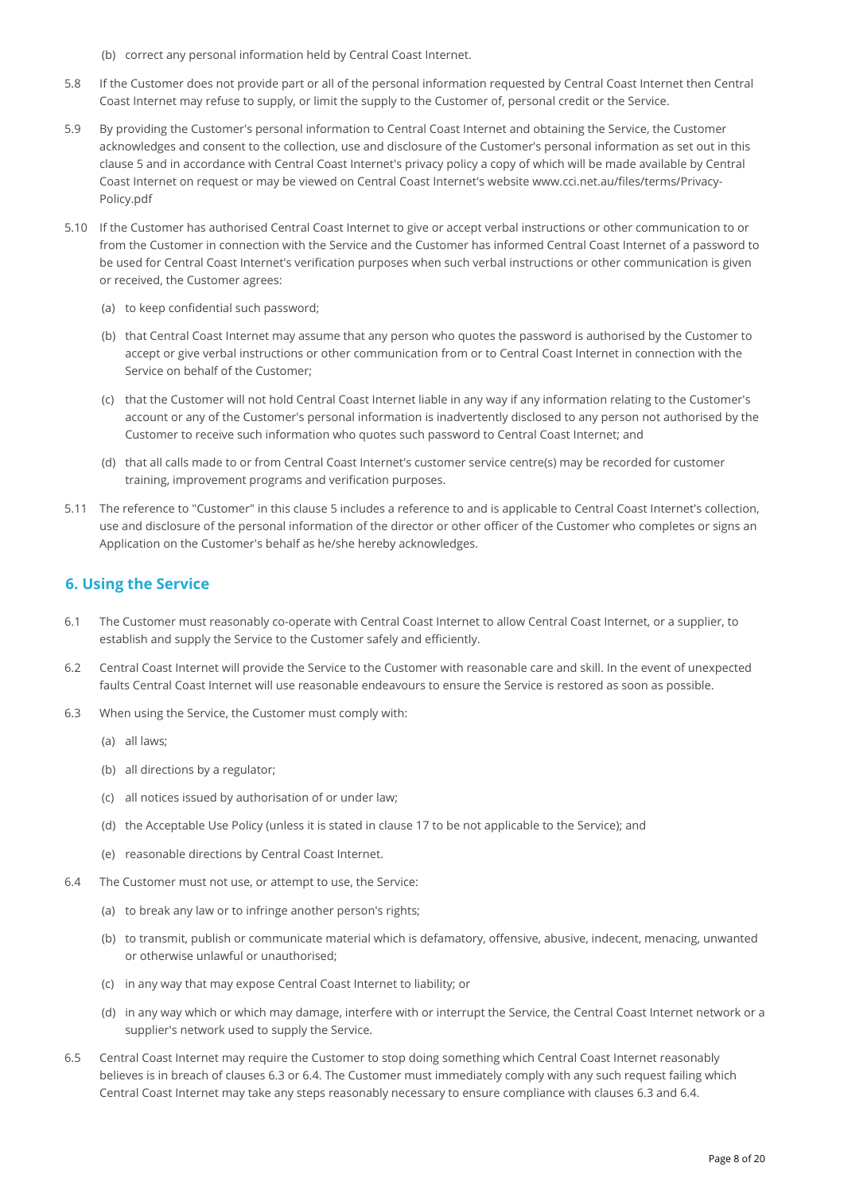- (b) correct any personal information held by Central Coast Internet.
- If the Customer does not provide part or all of the personal information requested by Central Coast Internet then Central Coast Internet may refuse to supply, or limit the supply to the Customer of, personal credit or the Service. 5.8
- By providing the Customer's personal information to Central Coast Internet and obtaining the Service, the Customer acknowledges and consent to the collection, use and disclosure of the Customer's personal information as set out in this clause 5 and in accordance with Central Coast Internet's privacy policy a copy of which will be made available by Central Coast Internet on request or may be viewed on Central Coast Internet's website www.cci.net.au/files/terms/Privacy-Policy.pdf 5.9
- 5.10 If the Customer has authorised Central Coast Internet to give or accept verbal instructions or other communication to or from the Customer in connection with the Service and the Customer has informed Central Coast Internet of a password to be used for Central Coast Internet's verification purposes when such verbal instructions or other communication is given or received, the Customer agrees:
	- (a) to keep confidential such password;
	- (b) that Central Coast Internet may assume that any person who quotes the password is authorised by the Customer to accept or give verbal instructions or other communication from or to Central Coast Internet in connection with the Service on behalf of the Customer;
	- (c) that the Customer will not hold Central Coast Internet liable in any way if any information relating to the Customer's account or any of the Customer's personal information is inadvertently disclosed to any person not authorised by the Customer to receive such information who quotes such password to Central Coast Internet; and
	- (d) that all calls made to or from Central Coast Internet's customer service centre(s) may be recorded for customer training, improvement programs and verification purposes.
- 5.11 The reference to "Customer" in this clause 5 includes a reference to and is applicable to Central Coast Internet's collection, use and disclosure of the personal information of the director or other officer of the Customer who completes or signs an Application on the Customer's behalf as he/she hereby acknowledges.

### **6. Using the Service**

- The Customer must reasonably co-operate with Central Coast Internet to allow Central Coast Internet, or a supplier, to establish and supply the Service to the Customer safely and efficiently. 6.1
- Central Coast Internet will provide the Service to the Customer with reasonable care and skill. In the event of unexpected faults Central Coast Internet will use reasonable endeavours to ensure the Service is restored as soon as possible. 6.2
- 6.3 When using the Service, the Customer must comply with:
	- (a) all laws;
	- (b) all directions by a regulator;
	- (c) all notices issued by authorisation of or under law;
	- (d) the Acceptable Use Policy (unless it is stated in clause 17 to be not applicable to the Service); and
	- (e) reasonable directions by Central Coast Internet.
- 6.4 The Customer must not use, or attempt to use, the Service:
	- (a) to break any law or to infringe another person's rights;
	- (b) to transmit, publish or communicate material which is defamatory, offensive, abusive, indecent, menacing, unwanted or otherwise unlawful or unauthorised;
	- (c) in any way that may expose Central Coast Internet to liability; or
	- (d) in any way which or which may damage, interfere with or interrupt the Service, the Central Coast Internet network or a supplier's network used to supply the Service.
- Central Coast Internet may require the Customer to stop doing something which Central Coast Internet reasonably believes is in breach of clauses 6.3 or 6.4. The Customer must immediately comply with any such request failing which Central Coast Internet may take any steps reasonably necessary to ensure compliance with clauses 6.3 and 6.4. 6.5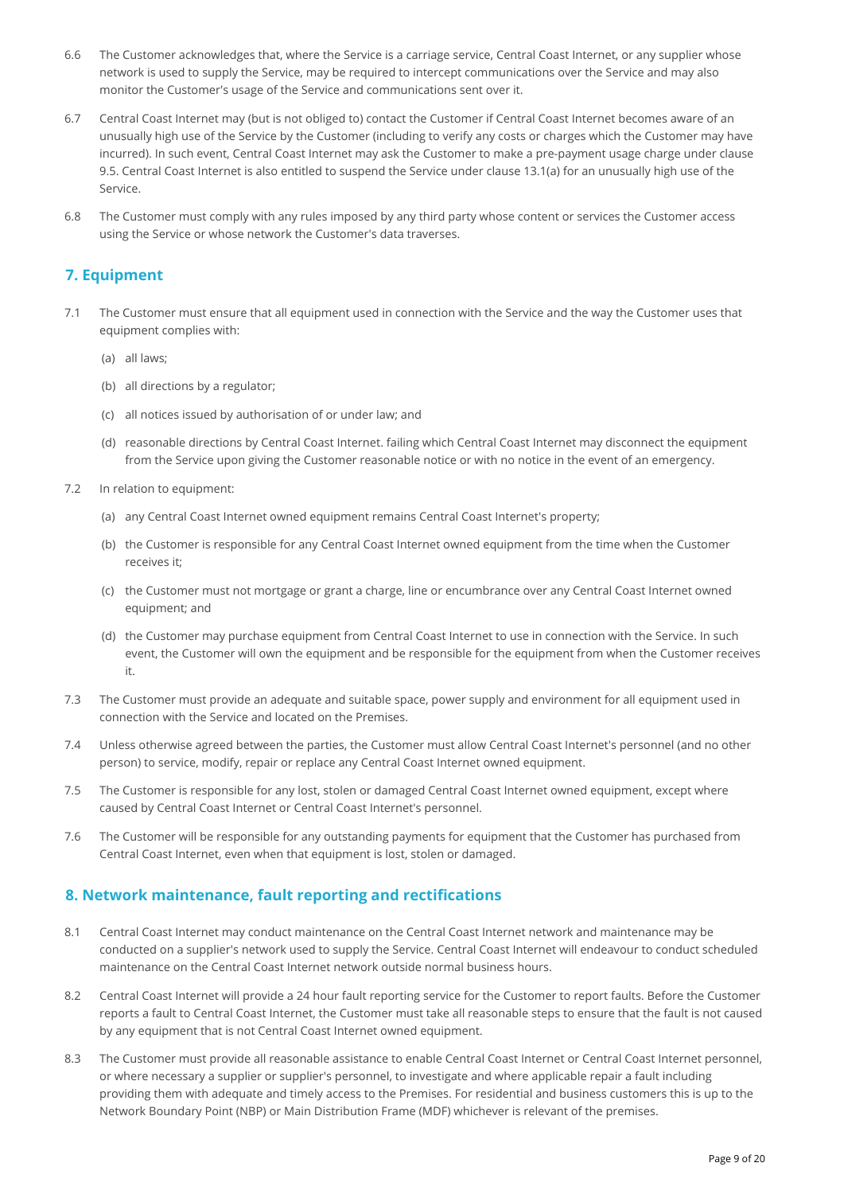- The Customer acknowledges that, where the Service is a carriage service, Central Coast Internet, or any supplier whose network is used to supply the Service, may be required to intercept communications over the Service and may also monitor the Customer's usage of the Service and communications sent over it. 6.6
- Central Coast Internet may (but is not obliged to) contact the Customer if Central Coast Internet becomes aware of an unusually high use of the Service by the Customer (including to verify any costs or charges which the Customer may have incurred). In such event, Central Coast Internet may ask the Customer to make a pre-payment usage charge under clause 9.5. Central Coast Internet is also entitled to suspend the Service under clause 13.1(a) for an unusually high use of the Service. 6.7
- The Customer must comply with any rules imposed by any third party whose content or services the Customer access using the Service or whose network the Customer's data traverses. 6.8

### **7. Equipment**

- The Customer must ensure that all equipment used in connection with the Service and the way the Customer uses that equipment complies with: 7.1
	- (a) all laws;
	- (b) all directions by a regulator;
	- (c) all notices issued by authorisation of or under law; and
	- (d) reasonable directions by Central Coast Internet. failing which Central Coast Internet may disconnect the equipment from the Service upon giving the Customer reasonable notice or with no notice in the event of an emergency.
- 7.2 In relation to equipment:
	- (a) any Central Coast Internet owned equipment remains Central Coast Internet's property;
	- (b) the Customer is responsible for any Central Coast Internet owned equipment from the time when the Customer receives it;
	- (c) the Customer must not mortgage or grant a charge, line or encumbrance over any Central Coast Internet owned equipment; and
	- (d) the Customer may purchase equipment from Central Coast Internet to use in connection with the Service. In such event, the Customer will own the equipment and be responsible for the equipment from when the Customer receives it.
- The Customer must provide an adequate and suitable space, power supply and environment for all equipment used in connection with the Service and located on the Premises. 7.3
- Unless otherwise agreed between the parties, the Customer must allow Central Coast Internet's personnel (and no other person) to service, modify, repair or replace any Central Coast Internet owned equipment. 7.4
- The Customer is responsible for any lost, stolen or damaged Central Coast Internet owned equipment, except where caused by Central Coast Internet or Central Coast Internet's personnel. 7.5
- The Customer will be responsible for any outstanding payments for equipment that the Customer has purchased from Central Coast Internet, even when that equipment is lost, stolen or damaged. 7.6

### **8. Network maintenance, fault reporting and rectifications**

- Central Coast Internet may conduct maintenance on the Central Coast Internet network and maintenance may be conducted on a supplier's network used to supply the Service. Central Coast Internet will endeavour to conduct scheduled maintenance on the Central Coast Internet network outside normal business hours. 8.1
- Central Coast Internet will provide a 24 hour fault reporting service for the Customer to report faults. Before the Customer reports a fault to Central Coast Internet, the Customer must take all reasonable steps to ensure that the fault is not caused by any equipment that is not Central Coast Internet owned equipment. 8.2
- The Customer must provide all reasonable assistance to enable Central Coast Internet or Central Coast Internet personnel, or where necessary a supplier or supplier's personnel, to investigate and where applicable repair a fault including providing them with adequate and timely access to the Premises. For residential and business customers this is up to the Network Boundary Point (NBP) or Main Distribution Frame (MDF) whichever is relevant of the premises. 8.3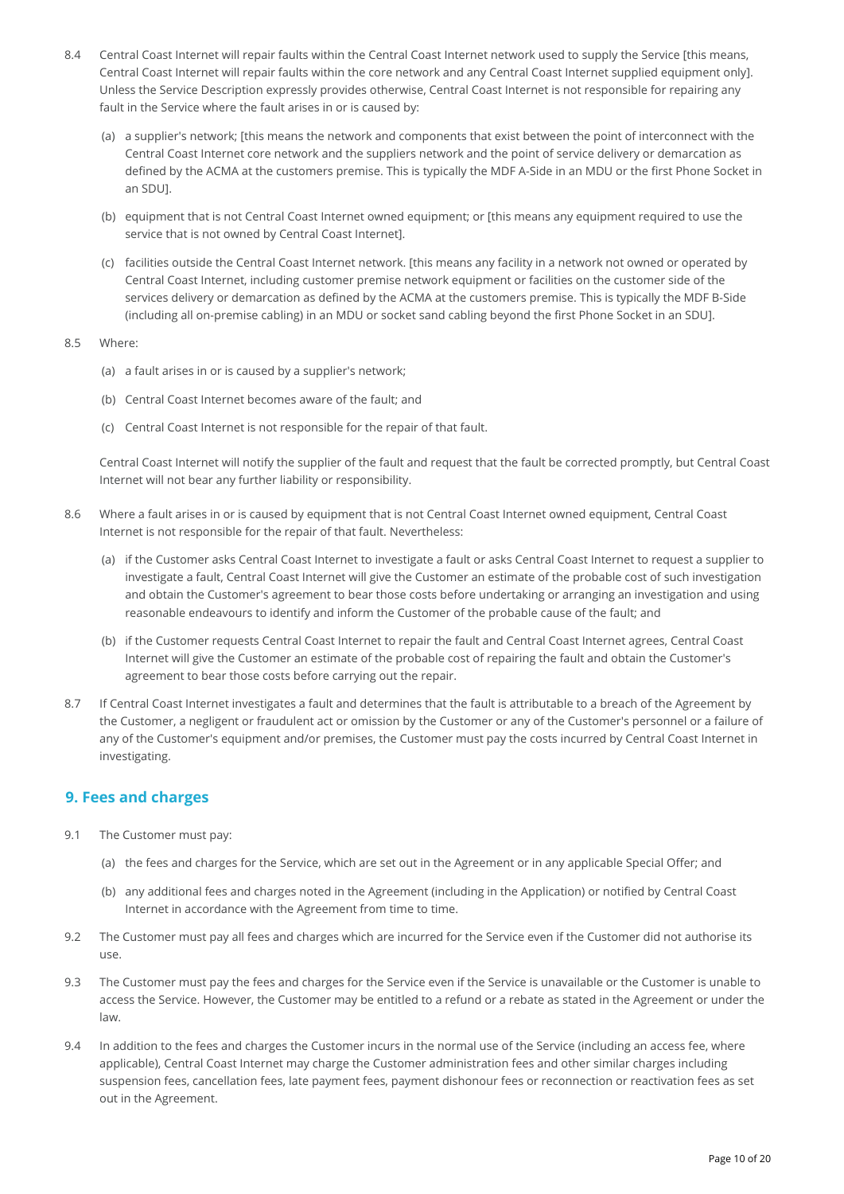- Central Coast Internet will repair faults within the Central Coast Internet network used to supply the Service [this means, Central Coast Internet will repair faults within the core network and any Central Coast Internet supplied equipment only]. Unless the Service Description expressly provides otherwise, Central Coast Internet is not responsible for repairing any fault in the Service where the fault arises in or is caused by: 8.4
	- (a) a supplier's network; [this means the network and components that exist between the point of interconnect with the Central Coast Internet core network and the suppliers network and the point of service delivery or demarcation as defined by the ACMA at the customers premise. This is typically the MDF A-Side in an MDU or the first Phone Socket in an SDU].
	- (b) equipment that is not Central Coast Internet owned equipment; or [this means any equipment required to use the service that is not owned by Central Coast Internet].
	- facilities outside the Central Coast Internet network. [this means any facility in a network not owned or operated by (c) Central Coast Internet, including customer premise network equipment or facilities on the customer side of the services delivery or demarcation as defined by the ACMA at the customers premise. This is typically the MDF B-Side (including all on-premise cabling) in an MDU or socket sand cabling beyond the first Phone Socket in an SDU].

#### 8.5 Where:

- (a) a fault arises in or is caused by a supplier's network;
- (b) Central Coast Internet becomes aware of the fault; and
- (c) Central Coast Internet is not responsible for the repair of that fault.

Central Coast Internet will notify the supplier of the fault and request that the fault be corrected promptly, but Central Coast Internet will not bear any further liability or responsibility.

- Where a fault arises in or is caused by equipment that is not Central Coast Internet owned equipment, Central Coast Internet is not responsible for the repair of that fault. Nevertheless: 8.6
	- (a) if the Customer asks Central Coast Internet to investigate a fault or asks Central Coast Internet to request a supplier to investigate a fault, Central Coast Internet will give the Customer an estimate of the probable cost of such investigation and obtain the Customer's agreement to bear those costs before undertaking or arranging an investigation and using reasonable endeavours to identify and inform the Customer of the probable cause of the fault; and
	- (b) if the Customer requests Central Coast Internet to repair the fault and Central Coast Internet agrees, Central Coast Internet will give the Customer an estimate of the probable cost of repairing the fault and obtain the Customer's agreement to bear those costs before carrying out the repair.
- If Central Coast Internet investigates a fault and determines that the fault is attributable to a breach of the Agreement by the Customer, a negligent or fraudulent act or omission by the Customer or any of the Customer's personnel or a failure of any of the Customer's equipment and/or premises, the Customer must pay the costs incurred by Central Coast Internet in investigating. 8.7

### **9. Fees and charges**

- 9.1 The Customer must pay:
	- (a) the fees and charges for the Service, which are set out in the Agreement or in any applicable Special Offer; and
	- (b) any additional fees and charges noted in the Agreement (including in the Application) or notified by Central Coast Internet in accordance with the Agreement from time to time.
- The Customer must pay all fees and charges which are incurred for the Service even if the Customer did not authorise its use. 9.2
- The Customer must pay the fees and charges for the Service even if the Service is unavailable or the Customer is unable to access the Service. However, the Customer may be entitled to a refund or a rebate as stated in the Agreement or under the law. 9.3
- In addition to the fees and charges the Customer incurs in the normal use of the Service (including an access fee, where applicable), Central Coast Internet may charge the Customer administration fees and other similar charges including suspension fees, cancellation fees, late payment fees, payment dishonour fees or reconnection or reactivation fees as set out in the Agreement. 9.4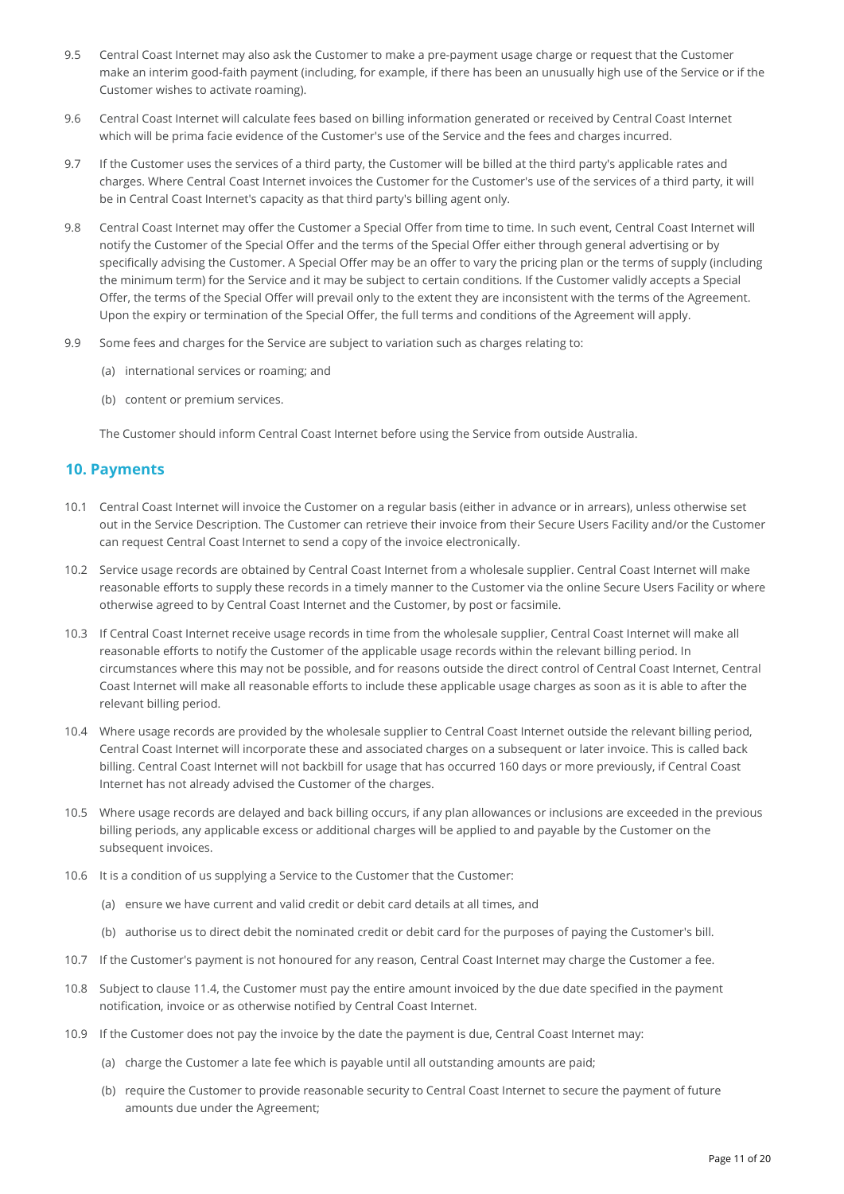- Central Coast Internet may also ask the Customer to make a pre-payment usage charge or request that the Customer make an interim good-faith payment (including, for example, if there has been an unusually high use of the Service or if the Customer wishes to activate roaming). 9.5
- Central Coast Internet will calculate fees based on billing information generated or received by Central Coast Internet which will be prima facie evidence of the Customer's use of the Service and the fees and charges incurred. 9.6
- If the Customer uses the services of a third party, the Customer will be billed at the third party's applicable rates and charges. Where Central Coast Internet invoices the Customer for the Customer's use of the services of a third party, it will be in Central Coast Internet's capacity as that third party's billing agent only. 9.7
- Central Coast Internet may offer the Customer a Special Offer from time to time. In such event, Central Coast Internet will notify the Customer of the Special Offer and the terms of the Special Offer either through general advertising or by specifically advising the Customer. A Special Offer may be an offer to vary the pricing plan or the terms of supply (including the minimum term) for the Service and it may be subject to certain conditions. If the Customer validly accepts a Special Offer, the terms of the Special Offer will prevail only to the extent they are inconsistent with the terms of the Agreement. Upon the expiry or termination of the Special Offer, the full terms and conditions of the Agreement will apply. 9.8
- 9.9 Some fees and charges for the Service are subject to variation such as charges relating to:
	- (a) international services or roaming; and
	- (b) content or premium services.

The Customer should inform Central Coast Internet before using the Service from outside Australia.

### **10. Payments**

- 10.1 Central Coast Internet will invoice the Customer on a regular basis (either in advance or in arrears), unless otherwise set out in the Service Description. The Customer can retrieve their invoice from their Secure Users Facility and/or the Customer can request Central Coast Internet to send a copy of the invoice electronically.
- 10.2 Service usage records are obtained by Central Coast Internet from a wholesale supplier. Central Coast Internet will make reasonable efforts to supply these records in a timely manner to the Customer via the online Secure Users Facility or where otherwise agreed to by Central Coast Internet and the Customer, by post or facsimile.
- 10.3 If Central Coast Internet receive usage records in time from the wholesale supplier, Central Coast Internet will make all reasonable efforts to notify the Customer of the applicable usage records within the relevant billing period. In circumstances where this may not be possible, and for reasons outside the direct control of Central Coast Internet, Central Coast Internet will make all reasonable efforts to include these applicable usage charges as soon as it is able to after the relevant billing period.
- 10.4 Where usage records are provided by the wholesale supplier to Central Coast Internet outside the relevant billing period, Central Coast Internet will incorporate these and associated charges on a subsequent or later invoice. This is called back billing. Central Coast Internet will not backbill for usage that has occurred 160 days or more previously, if Central Coast Internet has not already advised the Customer of the charges.
- 10.5 Where usage records are delayed and back billing occurs, if any plan allowances or inclusions are exceeded in the previous billing periods, any applicable excess or additional charges will be applied to and payable by the Customer on the subsequent invoices.
- 10.6 It is a condition of us supplying a Service to the Customer that the Customer:
	- (a) ensure we have current and valid credit or debit card details at all times, and
	- (b) authorise us to direct debit the nominated credit or debit card for the purposes of paying the Customer's bill.
- 10.7 If the Customer's payment is not honoured for any reason, Central Coast Internet may charge the Customer a fee.
- 10.8 Subject to clause 11.4, the Customer must pay the entire amount invoiced by the due date specified in the payment notification, invoice or as otherwise notified by Central Coast Internet.
- 10.9 If the Customer does not pay the invoice by the date the payment is due, Central Coast Internet may:
	- (a) charge the Customer a late fee which is payable until all outstanding amounts are paid;
	- (b) require the Customer to provide reasonable security to Central Coast Internet to secure the payment of future amounts due under the Agreement;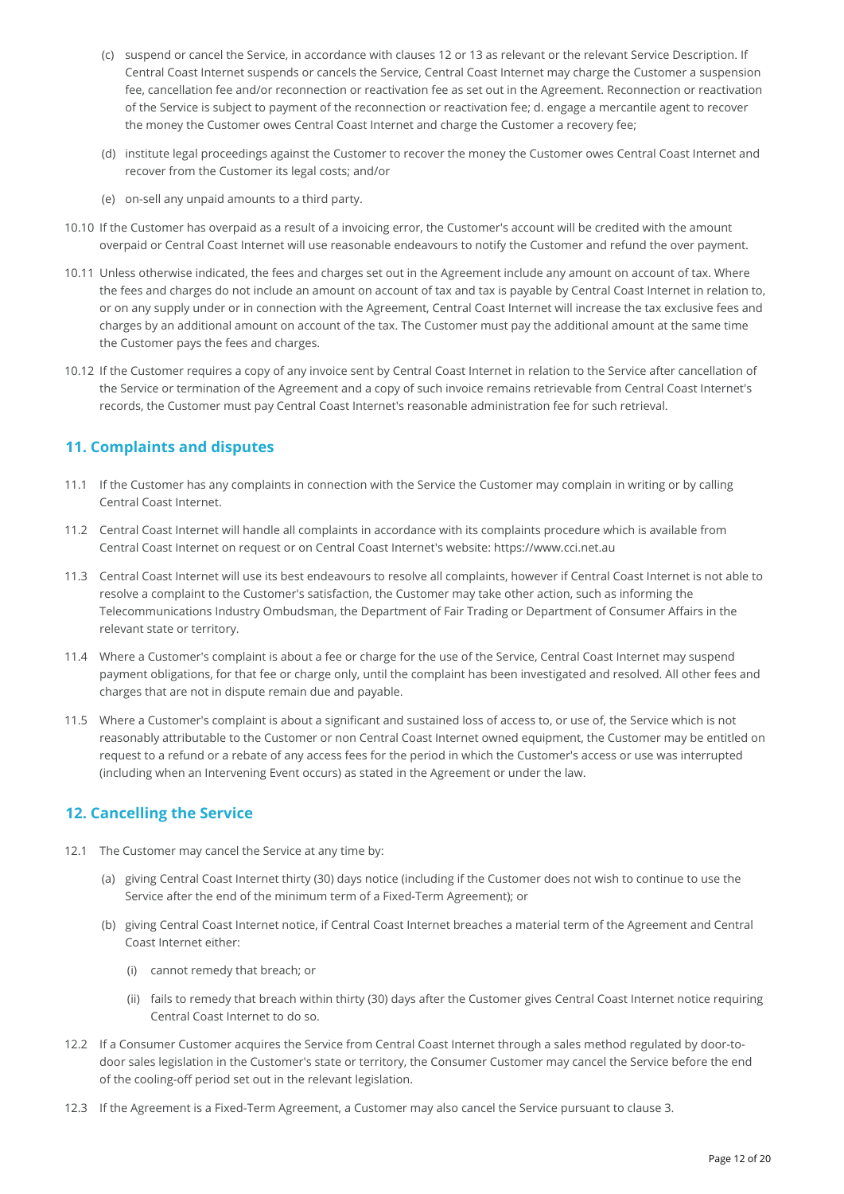- (c) suspend or cancel the Service, in accordance with clauses 12 or 13 as relevant or the relevant Service Description. If Central Coast Internet suspends or cancels the Service, Central Coast Internet may charge the Customer a suspension fee, cancellation fee and/or reconnection or reactivation fee as set out in the Agreement. Reconnection or reactivation of the Service is subject to payment of the reconnection or reactivation fee; d. engage a mercantile agent to recover the money the Customer owes Central Coast Internet and charge the Customer a recovery fee;
- (d) institute legal proceedings against the Customer to recover the money the Customer owes Central Coast Internet and recover from the Customer its legal costs; and/or
- (e) on-sell any unpaid amounts to a third party.
- 10.10 If the Customer has overpaid as a result of a invoicing error, the Customer's account will be credited with the amount overpaid or Central Coast Internet will use reasonable endeavours to notify the Customer and refund the over payment.
- 10.11 Unless otherwise indicated, the fees and charges set out in the Agreement include any amount on account of tax. Where the fees and charges do not include an amount on account of tax and tax is payable by Central Coast Internet in relation to, or on any supply under or in connection with the Agreement, Central Coast Internet will increase the tax exclusive fees and charges by an additional amount on account of the tax. The Customer must pay the additional amount at the same time the Customer pays the fees and charges.
- 10.12 If the Customer requires a copy of any invoice sent by Central Coast Internet in relation to the Service after cancellation of the Service or termination of the Agreement and a copy of such invoice remains retrievable from Central Coast Internet's records, the Customer must pay Central Coast Internet's reasonable administration fee for such retrieval.

### **11. Complaints and disputes**

- If the Customer has any complaints in connection with the Service the Customer may complain in writing or by calling 11.1 Central Coast Internet.
- 11.2 Central Coast Internet will handle all complaints in accordance with its complaints procedure which is available from Central Coast Internet on request or on Central Coast Internet's website: https://www.cci.net.au
- 11.3 Central Coast Internet will use its best endeavours to resolve all complaints, however if Central Coast Internet is not able to resolve a complaint to the Customer's satisfaction, the Customer may take other action, such as informing the Telecommunications Industry Ombudsman, the Department of Fair Trading or Department of Consumer Affairs in the relevant state or territory.
- 11.4 Where a Customer's complaint is about a fee or charge for the use of the Service, Central Coast Internet may suspend payment obligations, for that fee or charge only, until the complaint has been investigated and resolved. All other fees and charges that are not in dispute remain due and payable.
- 11.5 Where a Customer's complaint is about a significant and sustained loss of access to, or use of, the Service which is not reasonably attributable to the Customer or non Central Coast Internet owned equipment, the Customer may be entitled on request to a refund or a rebate of any access fees for the period in which the Customer's access or use was interrupted (including when an Intervening Event occurs) as stated in the Agreement or under the law.

### **12. Cancelling the Service**

- 12.1 The Customer may cancel the Service at any time by:
	- giving Central Coast Internet thirty (30) days notice (including if the Customer does not wish to continue to use the (a) Service after the end of the minimum term of a Fixed-Term Agreement); or
	- (b) giving Central Coast Internet notice, if Central Coast Internet breaches a material term of the Agreement and Central Coast Internet either:
		- (i) cannot remedy that breach; or
		- (ii) fails to remedy that breach within thirty (30) days after the Customer gives Central Coast Internet notice requiring Central Coast Internet to do so.
- 12.2 If a Consumer Customer acquires the Service from Central Coast Internet through a sales method regulated by door-todoor sales legislation in the Customer's state or territory, the Consumer Customer may cancel the Service before the end of the cooling-off period set out in the relevant legislation.
- 12.3 If the Agreement is a Fixed-Term Agreement, a Customer may also cancel the Service pursuant to clause 3.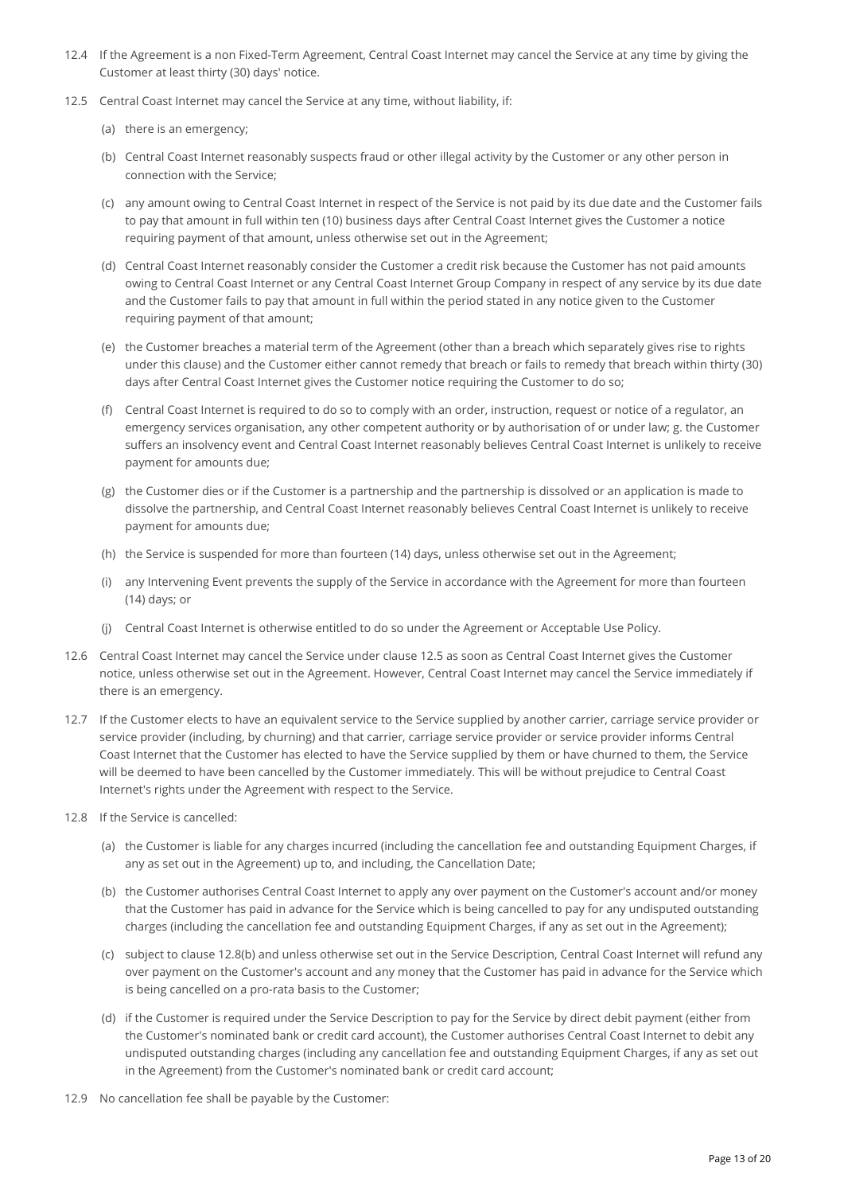- 12.4 If the Agreement is a non Fixed-Term Agreement, Central Coast Internet may cancel the Service at any time by giving the Customer at least thirty (30) days' notice.
- 12.5 Central Coast Internet may cancel the Service at any time, without liability, if:
	- (a) there is an emergency;
	- (b) Central Coast Internet reasonably suspects fraud or other illegal activity by the Customer or any other person in connection with the Service;
	- (c) any amount owing to Central Coast Internet in respect of the Service is not paid by its due date and the Customer fails to pay that amount in full within ten (10) business days after Central Coast Internet gives the Customer a notice requiring payment of that amount, unless otherwise set out in the Agreement;
	- (d) Central Coast Internet reasonably consider the Customer a credit risk because the Customer has not paid amounts owing to Central Coast Internet or any Central Coast Internet Group Company in respect of any service by its due date and the Customer fails to pay that amount in full within the period stated in any notice given to the Customer requiring payment of that amount;
	- (e) the Customer breaches a material term of the Agreement (other than a breach which separately gives rise to rights under this clause) and the Customer either cannot remedy that breach or fails to remedy that breach within thirty (30) days after Central Coast Internet gives the Customer notice requiring the Customer to do so;
	- Central Coast Internet is required to do so to comply with an order, instruction, request or notice of a regulator, an (f) emergency services organisation, any other competent authority or by authorisation of or under law; g. the Customer suffers an insolvency event and Central Coast Internet reasonably believes Central Coast Internet is unlikely to receive payment for amounts due;
	- (g) the Customer dies or if the Customer is a partnership and the partnership is dissolved or an application is made to dissolve the partnership, and Central Coast Internet reasonably believes Central Coast Internet is unlikely to receive payment for amounts due;
	- (h) the Service is suspended for more than fourteen (14) days, unless otherwise set out in the Agreement;
	- (i) any Intervening Event prevents the supply of the Service in accordance with the Agreement for more than fourteen (14) days; or
	- (j) Central Coast Internet is otherwise entitled to do so under the Agreement or Acceptable Use Policy.
- 12.6 Central Coast Internet may cancel the Service under clause 12.5 as soon as Central Coast Internet gives the Customer notice, unless otherwise set out in the Agreement. However, Central Coast Internet may cancel the Service immediately if there is an emergency.
- 12.7 If the Customer elects to have an equivalent service to the Service supplied by another carrier, carriage service provider or service provider (including, by churning) and that carrier, carriage service provider or service provider informs Central Coast Internet that the Customer has elected to have the Service supplied by them or have churned to them, the Service will be deemed to have been cancelled by the Customer immediately. This will be without prejudice to Central Coast Internet's rights under the Agreement with respect to the Service.
- 12.8 If the Service is cancelled:
	- (a) the Customer is liable for any charges incurred (including the cancellation fee and outstanding Equipment Charges, if any as set out in the Agreement) up to, and including, the Cancellation Date;
	- (b) the Customer authorises Central Coast Internet to apply any over payment on the Customer's account and/or money that the Customer has paid in advance for the Service which is being cancelled to pay for any undisputed outstanding charges (including the cancellation fee and outstanding Equipment Charges, if any as set out in the Agreement);
	- (c) subject to clause 12.8(b) and unless otherwise set out in the Service Description, Central Coast Internet will refund any over payment on the Customer's account and any money that the Customer has paid in advance for the Service which is being cancelled on a pro-rata basis to the Customer;
	- (d) if the Customer is required under the Service Description to pay for the Service by direct debit payment (either from the Customer's nominated bank or credit card account), the Customer authorises Central Coast Internet to debit any undisputed outstanding charges (including any cancellation fee and outstanding Equipment Charges, if any as set out in the Agreement) from the Customer's nominated bank or credit card account;
- 12.9 No cancellation fee shall be payable by the Customer: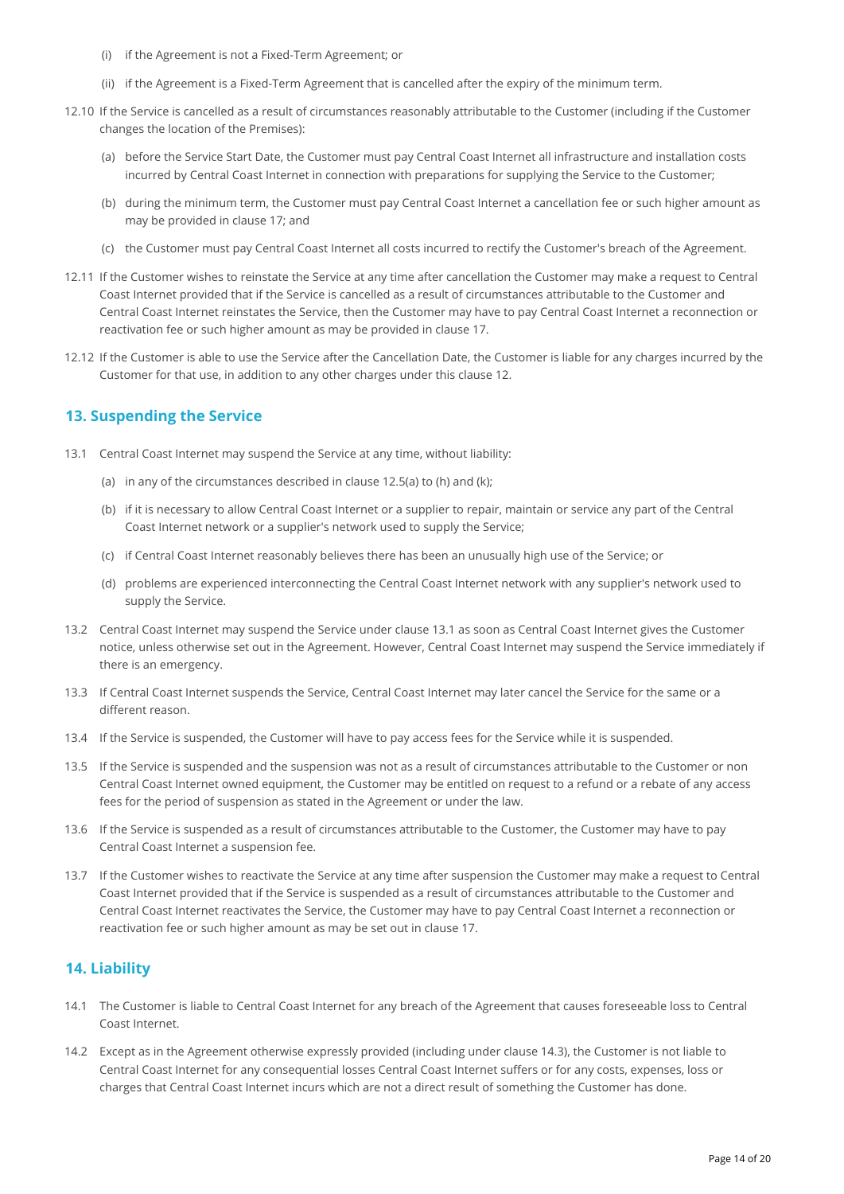- (i) if the Agreement is not a Fixed-Term Agreement; or
- (ii) if the Agreement is a Fixed-Term Agreement that is cancelled after the expiry of the minimum term.
- 12.10 If the Service is cancelled as a result of circumstances reasonably attributable to the Customer (including if the Customer changes the location of the Premises):
	- (a) before the Service Start Date, the Customer must pay Central Coast Internet all infrastructure and installation costs incurred by Central Coast Internet in connection with preparations for supplying the Service to the Customer;
	- (b) during the minimum term, the Customer must pay Central Coast Internet a cancellation fee or such higher amount as may be provided in clause 17; and
	- (c) the Customer must pay Central Coast Internet all costs incurred to rectify the Customer's breach of the Agreement.
- 12.11 If the Customer wishes to reinstate the Service at any time after cancellation the Customer may make a request to Central Coast Internet provided that if the Service is cancelled as a result of circumstances attributable to the Customer and Central Coast Internet reinstates the Service, then the Customer may have to pay Central Coast Internet a reconnection or reactivation fee or such higher amount as may be provided in clause 17.
- 12.12 If the Customer is able to use the Service after the Cancellation Date, the Customer is liable for any charges incurred by the Customer for that use, in addition to any other charges under this clause 12.

### **13. Suspending the Service**

- 13.1 Central Coast Internet may suspend the Service at any time, without liability:
	- (a) in any of the circumstances described in clause 12.5(a) to (h) and (k);
	- (b) if it is necessary to allow Central Coast Internet or a supplier to repair, maintain or service any part of the Central Coast Internet network or a supplier's network used to supply the Service;
	- (c) if Central Coast Internet reasonably believes there has been an unusually high use of the Service; or
	- (d) problems are experienced interconnecting the Central Coast Internet network with any supplier's network used to supply the Service.
- 13.2 Central Coast Internet may suspend the Service under clause 13.1 as soon as Central Coast Internet gives the Customer notice, unless otherwise set out in the Agreement. However, Central Coast Internet may suspend the Service immediately if there is an emergency.
- 13.3 If Central Coast Internet suspends the Service, Central Coast Internet may later cancel the Service for the same or a different reason.
- 13.4 If the Service is suspended, the Customer will have to pay access fees for the Service while it is suspended.
- 13.5 If the Service is suspended and the suspension was not as a result of circumstances attributable to the Customer or non Central Coast Internet owned equipment, the Customer may be entitled on request to a refund or a rebate of any access fees for the period of suspension as stated in the Agreement or under the law.
- 13.6 If the Service is suspended as a result of circumstances attributable to the Customer, the Customer may have to pay Central Coast Internet a suspension fee.
- 13.7 If the Customer wishes to reactivate the Service at any time after suspension the Customer may make a request to Central Coast Internet provided that if the Service is suspended as a result of circumstances attributable to the Customer and Central Coast Internet reactivates the Service, the Customer may have to pay Central Coast Internet a reconnection or reactivation fee or such higher amount as may be set out in clause 17.

### **14. Liability**

- 14.1 The Customer is liable to Central Coast Internet for any breach of the Agreement that causes foreseeable loss to Central Coast Internet.
- 14.2 Except as in the Agreement otherwise expressly provided (including under clause 14.3), the Customer is not liable to Central Coast Internet for any consequential losses Central Coast Internet suffers or for any costs, expenses, loss or charges that Central Coast Internet incurs which are not a direct result of something the Customer has done.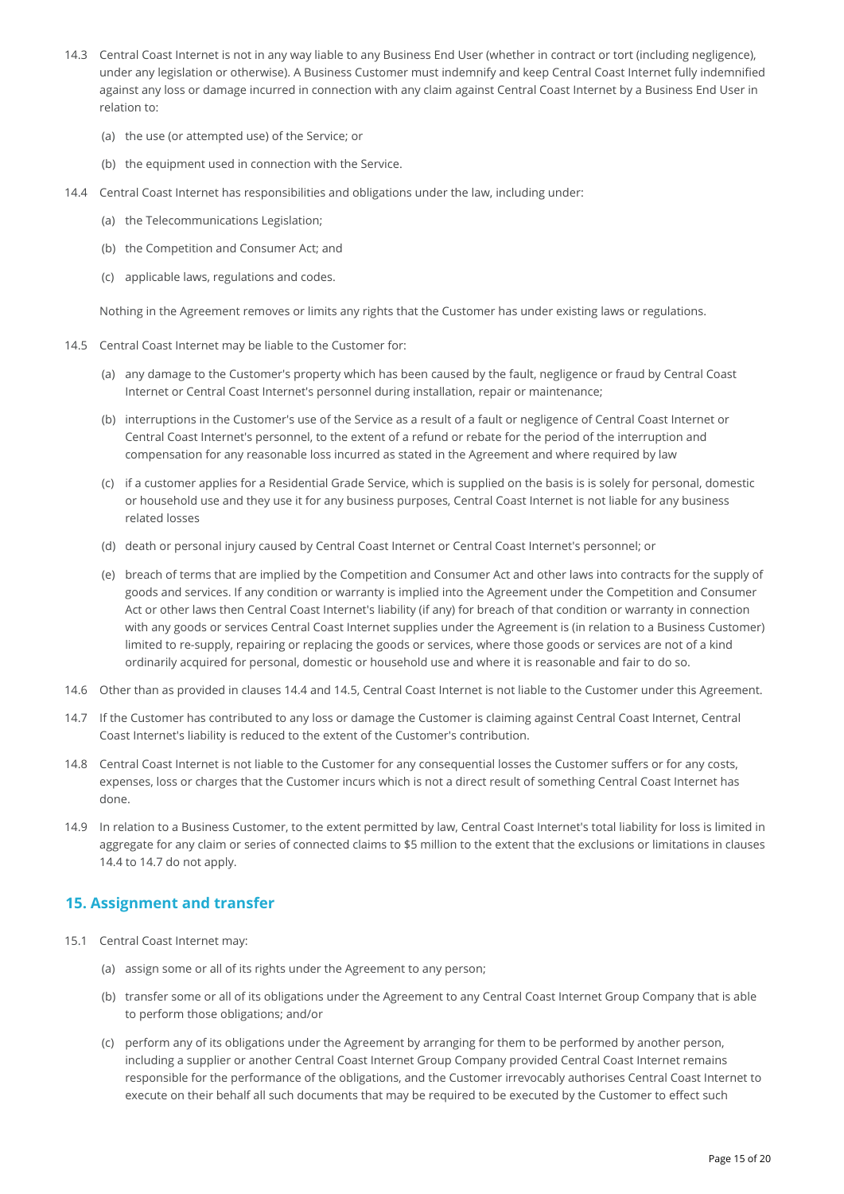- 14.3 Central Coast Internet is not in any way liable to any Business End User (whether in contract or tort (including negligence), under any legislation or otherwise). A Business Customer must indemnify and keep Central Coast Internet fully indemnified against any loss or damage incurred in connection with any claim against Central Coast Internet by a Business End User in relation to:
	- (a) the use (or attempted use) of the Service; or
	- (b) the equipment used in connection with the Service.
- 14.4 Central Coast Internet has responsibilities and obligations under the law, including under:
	- (a) the Telecommunications Legislation;
	- (b) the Competition and Consumer Act; and
	- (c) applicable laws, regulations and codes.

Nothing in the Agreement removes or limits any rights that the Customer has under existing laws or regulations.

- 14.5 Central Coast Internet may be liable to the Customer for:
	- (a) any damage to the Customer's property which has been caused by the fault, negligence or fraud by Central Coast Internet or Central Coast Internet's personnel during installation, repair or maintenance;
	- (b) interruptions in the Customer's use of the Service as a result of a fault or negligence of Central Coast Internet or Central Coast Internet's personnel, to the extent of a refund or rebate for the period of the interruption and compensation for any reasonable loss incurred as stated in the Agreement and where required by law
	- (c) if a customer applies for a Residential Grade Service, which is supplied on the basis is is solely for personal, domestic or household use and they use it for any business purposes, Central Coast Internet is not liable for any business related losses
	- (d) death or personal injury caused by Central Coast Internet or Central Coast Internet's personnel; or
	- (e) breach of terms that are implied by the Competition and Consumer Act and other laws into contracts for the supply of goods and services. If any condition or warranty is implied into the Agreement under the Competition and Consumer Act or other laws then Central Coast Internet's liability (if any) for breach of that condition or warranty in connection with any goods or services Central Coast Internet supplies under the Agreement is (in relation to a Business Customer) limited to re-supply, repairing or replacing the goods or services, where those goods or services are not of a kind ordinarily acquired for personal, domestic or household use and where it is reasonable and fair to do so.
- 14.6 Other than as provided in clauses 14.4 and 14.5, Central Coast Internet is not liable to the Customer under this Agreement.
- 14.7 If the Customer has contributed to any loss or damage the Customer is claiming against Central Coast Internet, Central Coast Internet's liability is reduced to the extent of the Customer's contribution.
- 14.8 Central Coast Internet is not liable to the Customer for any consequential losses the Customer suffers or for any costs, expenses, loss or charges that the Customer incurs which is not a direct result of something Central Coast Internet has done.
- 14.9 In relation to a Business Customer, to the extent permitted by law, Central Coast Internet's total liability for loss is limited in aggregate for any claim or series of connected claims to \$5 million to the extent that the exclusions or limitations in clauses 14.4 to 14.7 do not apply.

### **15. Assignment and transfer**

- 15.1 Central Coast Internet may:
	- (a) assign some or all of its rights under the Agreement to any person;
	- (b) transfer some or all of its obligations under the Agreement to any Central Coast Internet Group Company that is able to perform those obligations; and/or
	- perform any of its obligations under the Agreement by arranging for them to be performed by another person, (c) including a supplier or another Central Coast Internet Group Company provided Central Coast Internet remains responsible for the performance of the obligations, and the Customer irrevocably authorises Central Coast Internet to execute on their behalf all such documents that may be required to be executed by the Customer to effect such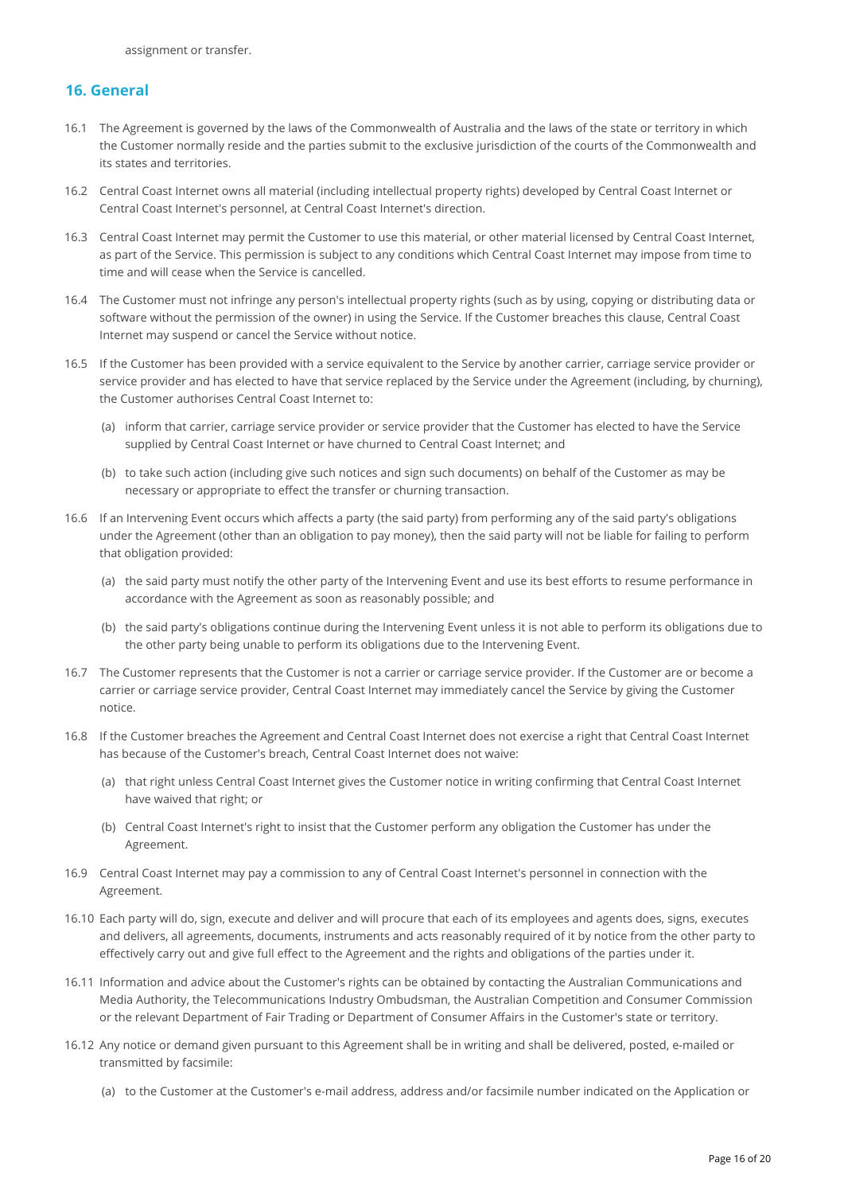### **16. General**

- The Agreement is governed by the laws of the Commonwealth of Australia and the laws of the state or territory in which 16.1 the Customer normally reside and the parties submit to the exclusive jurisdiction of the courts of the Commonwealth and its states and territories.
- 16.2 Central Coast Internet owns all material (including intellectual property rights) developed by Central Coast Internet or Central Coast Internet's personnel, at Central Coast Internet's direction.
- 16.3 Central Coast Internet may permit the Customer to use this material, or other material licensed by Central Coast Internet, as part of the Service. This permission is subject to any conditions which Central Coast Internet may impose from time to time and will cease when the Service is cancelled.
- 16.4 The Customer must not infringe any person's intellectual property rights (such as by using, copying or distributing data or software without the permission of the owner) in using the Service. If the Customer breaches this clause, Central Coast Internet may suspend or cancel the Service without notice.
- If the Customer has been provided with a service equivalent to the Service by another carrier, carriage service provider or 16.5 service provider and has elected to have that service replaced by the Service under the Agreement (including, by churning), the Customer authorises Central Coast Internet to:
	- (a) inform that carrier, carriage service provider or service provider that the Customer has elected to have the Service supplied by Central Coast Internet or have churned to Central Coast Internet; and
	- (b) to take such action (including give such notices and sign such documents) on behalf of the Customer as may be necessary or appropriate to effect the transfer or churning transaction.
- 16.6 If an Intervening Event occurs which affects a party (the said party) from performing any of the said party's obligations under the Agreement (other than an obligation to pay money), then the said party will not be liable for failing to perform that obligation provided:
	- (a) the said party must notify the other party of the Intervening Event and use its best efforts to resume performance in accordance with the Agreement as soon as reasonably possible; and
	- (b) the said party's obligations continue during the Intervening Event unless it is not able to perform its obligations due to the other party being unable to perform its obligations due to the Intervening Event.
- 16.7 The Customer represents that the Customer is not a carrier or carriage service provider. If the Customer are or become a carrier or carriage service provider, Central Coast Internet may immediately cancel the Service by giving the Customer notice.
- 16.8 If the Customer breaches the Agreement and Central Coast Internet does not exercise a right that Central Coast Internet has because of the Customer's breach, Central Coast Internet does not waive:
	- (a) that right unless Central Coast Internet gives the Customer notice in writing confirming that Central Coast Internet have waived that right; or
	- (b) Central Coast Internet's right to insist that the Customer perform any obligation the Customer has under the Agreement.
- 16.9 Central Coast Internet may pay a commission to any of Central Coast Internet's personnel in connection with the Agreement.
- 16.10 Each party will do, sign, execute and deliver and will procure that each of its employees and agents does, signs, executes and delivers, all agreements, documents, instruments and acts reasonably required of it by notice from the other party to effectively carry out and give full effect to the Agreement and the rights and obligations of the parties under it.
- 16.11 Information and advice about the Customer's rights can be obtained by contacting the Australian Communications and Media Authority, the Telecommunications Industry Ombudsman, the Australian Competition and Consumer Commission or the relevant Department of Fair Trading or Department of Consumer Affairs in the Customer's state or territory.
- 16.12 Any notice or demand given pursuant to this Agreement shall be in writing and shall be delivered, posted, e-mailed or transmitted by facsimile:
	- (a) to the Customer at the Customer's e-mail address, address and/or facsimile number indicated on the Application or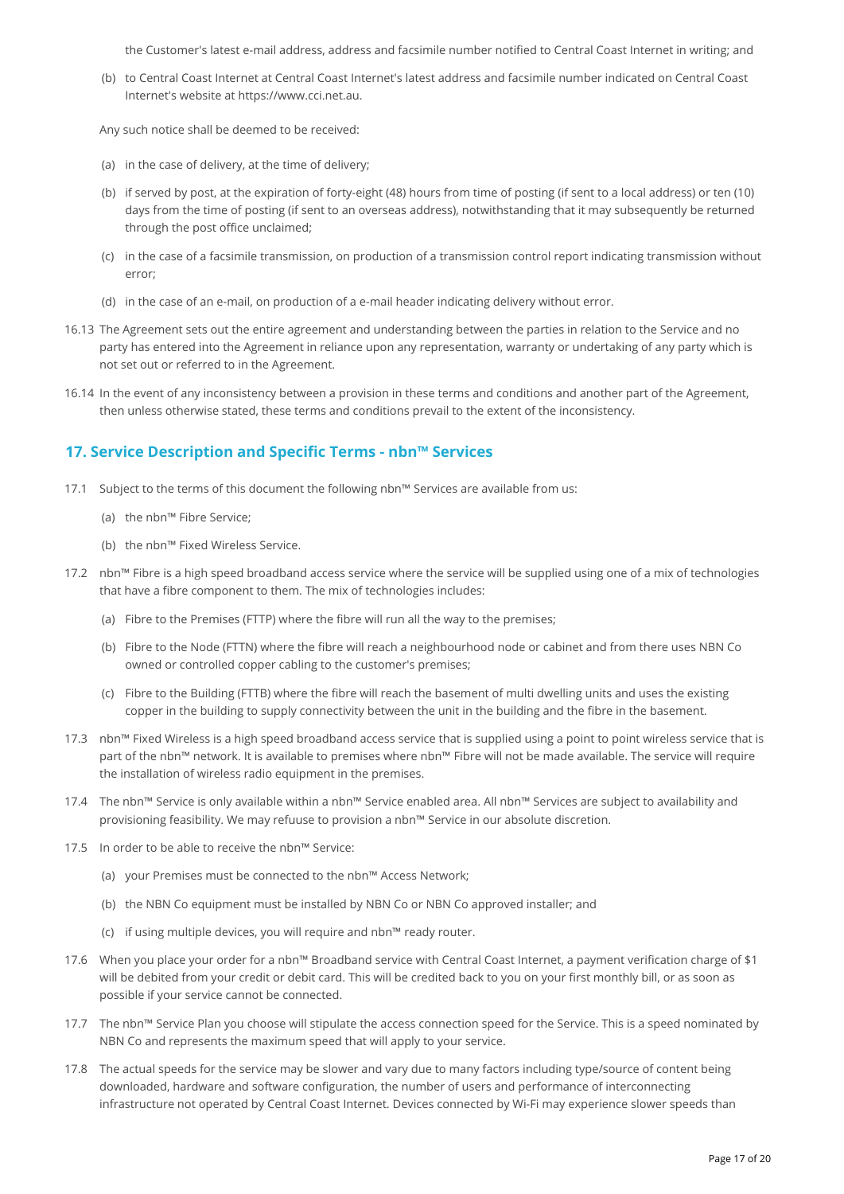the Customer's latest e-mail address, address and facsimile number notified to Central Coast Internet in writing; and

(b) to Central Coast Internet at Central Coast Internet's latest address and facsimile number indicated on Central Coast Internet's website at https://www.cci.net.au.

Any such notice shall be deemed to be received:

- (a) in the case of delivery, at the time of delivery;
- (b) if served by post, at the expiration of forty-eight (48) hours from time of posting (if sent to a local address) or ten (10) days from the time of posting (if sent to an overseas address), notwithstanding that it may subsequently be returned through the post office unclaimed;
- in the case of a facsimile transmission, on production of a transmission control report indicating transmission without (c) error;
- (d) in the case of an e-mail, on production of a e-mail header indicating delivery without error.
- 16.13 The Agreement sets out the entire agreement and understanding between the parties in relation to the Service and no party has entered into the Agreement in reliance upon any representation, warranty or undertaking of any party which is not set out or referred to in the Agreement.
- 16.14 In the event of any inconsistency between a provision in these terms and conditions and another part of the Agreement, then unless otherwise stated, these terms and conditions prevail to the extent of the inconsistency.

### **17. Service Description and Specific Terms - nbn™ Services**

- 17.1 Subject to the terms of this document the following nbn™ Services are available from us:
	- (a) the nbn™ Fibre Service;
	- (b) the nbn™ Fixed Wireless Service.
- 17.2 nbn™ Fibre is a high speed broadband access service where the service will be supplied using one of a mix of technologies that have a fibre component to them. The mix of technologies includes:
	- (a) Fibre to the Premises (FTTP) where the fibre will run all the way to the premises;
	- (b) Fibre to the Node (FTTN) where the fibre will reach a neighbourhood node or cabinet and from there uses NBN Co owned or controlled copper cabling to the customer's premises;
	- (c) Fibre to the Building (FTTB) where the fibre will reach the basement of multi dwelling units and uses the existing copper in the building to supply connectivity between the unit in the building and the fibre in the basement.
- 17.3 nbn™ Fixed Wireless is a high speed broadband access service that is supplied using a point to point wireless service that is part of the nbn™ network. It is available to premises where nbn™ Fibre will not be made available. The service will require the installation of wireless radio equipment in the premises.
- 17.4 The nbn™ Service is only available within a nbn™ Service enabled area. All nbn™ Services are subject to availability and provisioning feasibility. We may refuuse to provision a nbn™ Service in our absolute discretion.
- 17.5 In order to be able to receive the nbn™ Service:
	- (a) your Premises must be connected to the nbn™ Access Network;
	- (b) the NBN Co equipment must be installed by NBN Co or NBN Co approved installer; and
	- (c) if using multiple devices, you will require and nbn™ ready router.
- 17.6 When you place your order for a nbn™ Broadband service with Central Coast Internet, a payment verification charge of \$1 will be debited from your credit or debit card. This will be credited back to you on your first monthly bill, or as soon as possible if your service cannot be connected.
- 17.7 The nbn™ Service Plan you choose will stipulate the access connection speed for the Service. This is a speed nominated by NBN Co and represents the maximum speed that will apply to your service.
- 17.8 The actual speeds for the service may be slower and vary due to many factors including type/source of content being downloaded, hardware and software configuration, the number of users and performance of interconnecting infrastructure not operated by Central Coast Internet. Devices connected by Wi-Fi may experience slower speeds than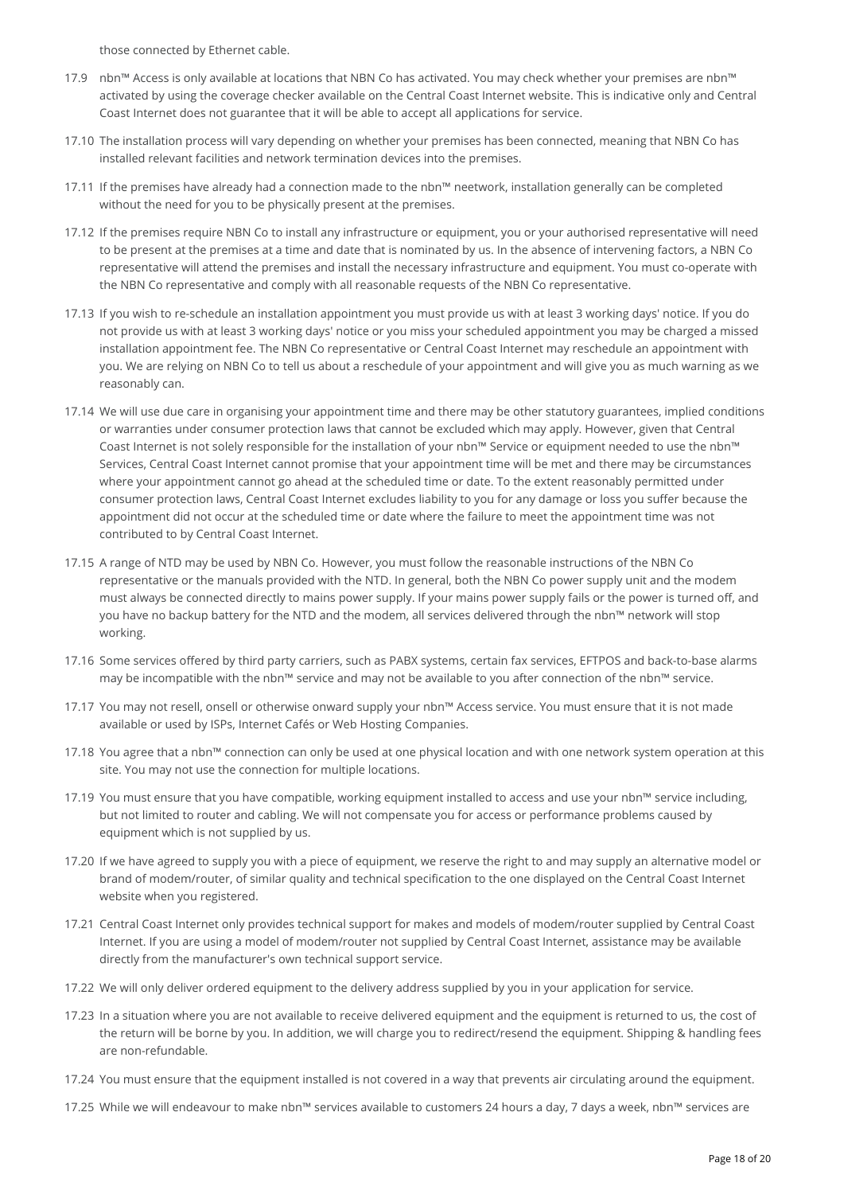those connected by Ethernet cable.

- 17.9 nbn™ Access is only available at locations that NBN Co has activated. You may check whether your premises are nbn™ activated by using the coverage checker available on the Central Coast Internet website. This is indicative only and Central Coast Internet does not guarantee that it will be able to accept all applications for service.
- 17.10 The installation process will vary depending on whether your premises has been connected, meaning that NBN Co has installed relevant facilities and network termination devices into the premises.
- 17.11 If the premises have already had a connection made to the nbn™ neetwork, installation generally can be completed without the need for you to be physically present at the premises.
- 17.12 If the premises require NBN Co to install any infrastructure or equipment, you or your authorised representative will need to be present at the premises at a time and date that is nominated by us. In the absence of intervening factors, a NBN Co representative will attend the premises and install the necessary infrastructure and equipment. You must co-operate with the NBN Co representative and comply with all reasonable requests of the NBN Co representative.
- 17.13 If you wish to re-schedule an installation appointment you must provide us with at least 3 working days' notice. If you do not provide us with at least 3 working days' notice or you miss your scheduled appointment you may be charged a missed installation appointment fee. The NBN Co representative or Central Coast Internet may reschedule an appointment with you. We are relying on NBN Co to tell us about a reschedule of your appointment and will give you as much warning as we reasonably can.
- 17.14 We will use due care in organising your appointment time and there may be other statutory guarantees, implied conditions or warranties under consumer protection laws that cannot be excluded which may apply. However, given that Central Coast Internet is not solely responsible for the installation of your nbn™ Service or equipment needed to use the nbn™ Services, Central Coast Internet cannot promise that your appointment time will be met and there may be circumstances where your appointment cannot go ahead at the scheduled time or date. To the extent reasonably permitted under consumer protection laws, Central Coast Internet excludes liability to you for any damage or loss you suffer because the appointment did not occur at the scheduled time or date where the failure to meet the appointment time was not contributed to by Central Coast Internet.
- 17.15 A range of NTD may be used by NBN Co. However, you must follow the reasonable instructions of the NBN Co representative or the manuals provided with the NTD. In general, both the NBN Co power supply unit and the modem must always be connected directly to mains power supply. If your mains power supply fails or the power is turned off, and you have no backup battery for the NTD and the modem, all services delivered through the nbn™ network will stop working.
- 17.16 Some services offered by third party carriers, such as PABX systems, certain fax services, EFTPOS and back-to-base alarms  $\,$ may be incompatible with the nbn™ service and may not be available to you after connection of the nbn™ service.
- 17.17 You may not resell, onsell or otherwise onward supply your nbn™ Access service. You must ensure that it is not made available or used by ISPs, Internet Cafés or Web Hosting Companies.
- 17.18 You agree that a nbn™ connection can only be used at one physical location and with one network system operation at this site. You may not use the connection for multiple locations.
- 17.19 You must ensure that you have compatible, working equipment installed to access and use your nbn™ service including, but not limited to router and cabling. We will not compensate you for access or performance problems caused by equipment which is not supplied by us.
- 17.20 If we have agreed to supply you with a piece of equipment, we reserve the right to and may supply an alternative model or brand of modem/router, of similar quality and technical specification to the one displayed on the Central Coast Internet website when you registered.
- 17.21 Central Coast Internet only provides technical support for makes and models of modem/router supplied by Central Coast Internet. If you are using a model of modem/router not supplied by Central Coast Internet, assistance may be available directly from the manufacturer's own technical support service.
- 17.22 We will only deliver ordered equipment to the delivery address supplied by you in your application for service.
- 17.23 In a situation where you are not available to receive delivered equipment and the equipment is returned to us, the cost of the return will be borne by you. In addition, we will charge you to redirect/resend the equipment. Shipping & handling fees are non-refundable.
- 17.24 You must ensure that the equipment installed is not covered in a way that prevents air circulating around the equipment.
- 17.25 While we will endeavour to make nbn™ services available to customers 24 hours a day, 7 days a week, nbn™ services are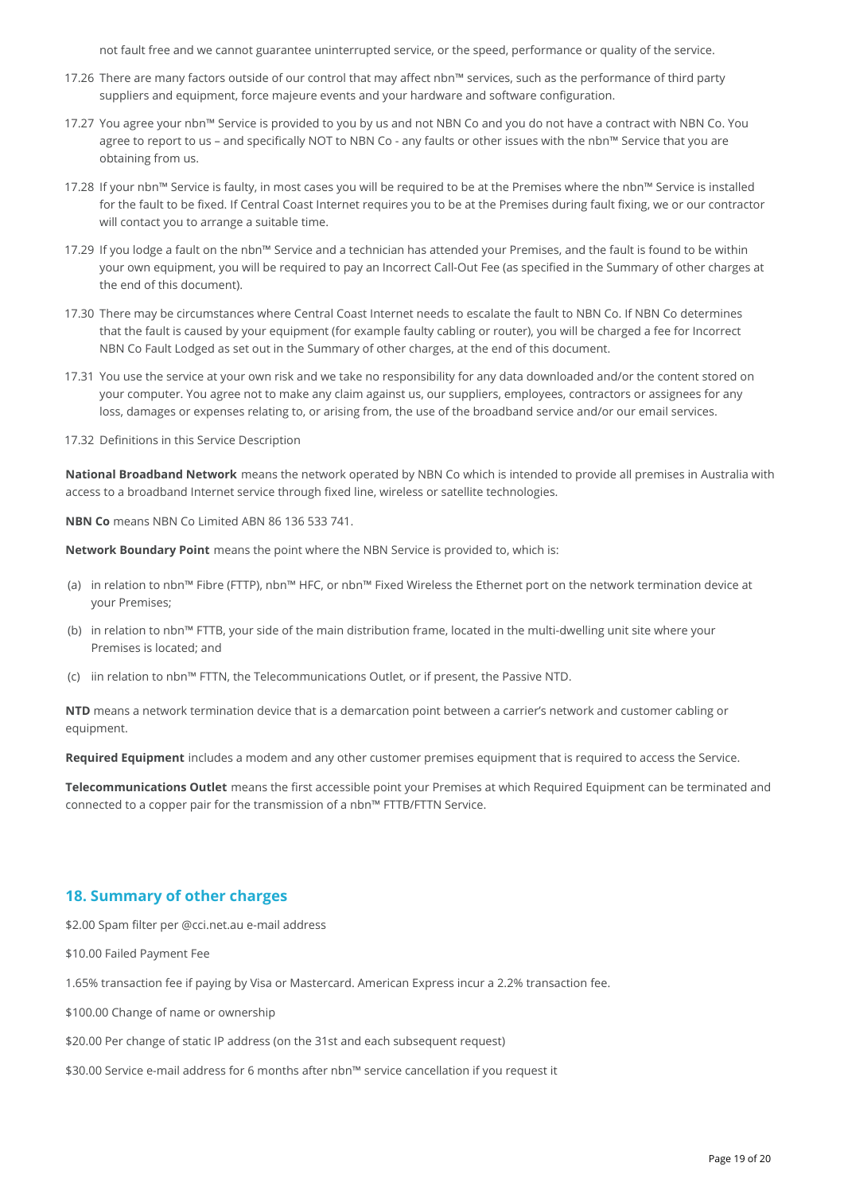not fault free and we cannot guarantee uninterrupted service, or the speed, performance or quality of the service.

- 17.26 There are many factors outside of our control that may affect nbn™ services, such as the performance of third party suppliers and equipment, force majeure events and your hardware and software configuration.
- 17.27 You agree your nbn™ Service is provided to you by us and not NBN Co and you do not have a contract with NBN Co. You agree to report to us – and specifically NOT to NBN Co - any faults or other issues with the nbn™ Service that you are obtaining from us.
- 17.28 If your nbn™ Service is faulty, in most cases you will be required to be at the Premises where the nbn™ Service is installed for the fault to be fixed. If Central Coast Internet requires you to be at the Premises during fault fixing, we or our contractor will contact you to arrange a suitable time.
- 17.29 If you lodge a fault on the nbn™ Service and a technician has attended your Premises, and the fault is found to be within your own equipment, you will be required to pay an Incorrect Call-Out Fee (as specified in the Summary of other charges at the end of this document).
- 17.30 There may be circumstances where Central Coast Internet needs to escalate the fault to NBN Co. If NBN Co determines that the fault is caused by your equipment (for example faulty cabling or router), you will be charged a fee for Incorrect NBN Co Fault Lodged as set out in the Summary of other charges, at the end of this document.
- 17.31 You use the service at your own risk and we take no responsibility for any data downloaded and/or the content stored on your computer. You agree not to make any claim against us, our suppliers, employees, contractors or assignees for any loss, damages or expenses relating to, or arising from, the use of the broadband service and/or our email services.
- 17.32 Definitions in this Service Description

**National Broadband Network** means the network operated by NBN Co which is intended to provide all premises in Australia with access to a broadband Internet service through fixed line, wireless or satellite technologies.

**NBN Co** means NBN Co Limited ABN 86 136 533 741.

**Network Boundary Point** means the point where the NBN Service is provided to, which is:

- in relation to nbn™ Fibre (FTTP), nbn™ HFC, or nbn™ Fixed Wireless the Ethernet port on the network termination device at (a) your Premises;
- (b) in relation to nbn™ FTTB, your side of the main distribution frame, located in the multi-dwelling unit site where your Premises is located; and
- (c) iin relation to nbn™ FTTN, the Telecommunications Outlet, or if present, the Passive NTD.

**NTD** means a network termination device that is a demarcation point between a carrier's network and customer cabling or equipment.

**Required Equipment** includes a modem and any other customer premises equipment that is required to access the Service.

**Telecommunications Outlet** means the first accessible point your Premises at which Required Equipment can be terminated and connected to a copper pair for the transmission of a nbn™ FTTB/FTTN Service.

### **18. Summary of other charges**

\$2.00 Spam filter per @cci.net.au e-mail address

- \$10.00 Failed Payment Fee
- 1.65% transaction fee if paying by Visa or Mastercard. American Express incur a 2.2% transaction fee.
- \$100.00 Change of name or ownership
- \$20.00 Per change of static IP address (on the 31st and each subsequent request)
- \$30.00 Service e-mail address for 6 months after nbn™ service cancellation if you request it